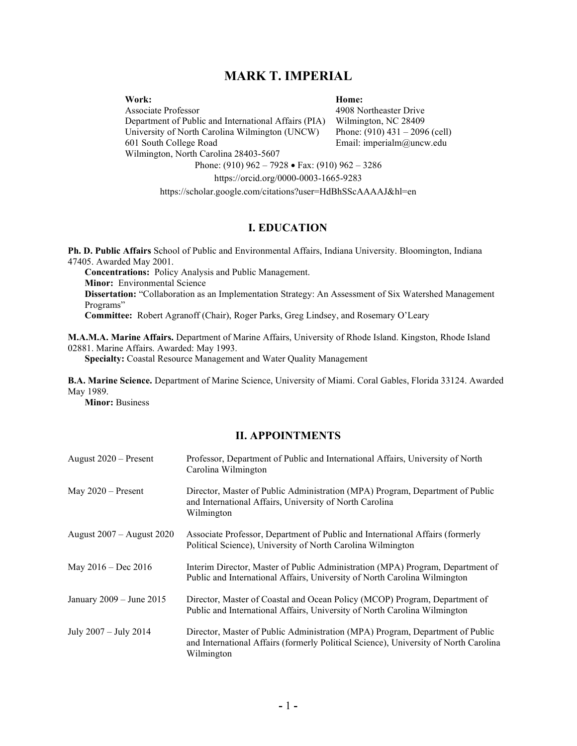# MARK T. IMPERIAL

Work:

### Home:

Associate Professor Department of Public and International Affairs (PIA) University of North Carolina Wilmington (UNCW) 601 South College Road Wilmington, North Carolina 28403-5607

4908 Northeaster Drive Wilmington, NC 28409 Phone: (910) 431 – 2096 (cell) Email: imperialm@uncw.edu

Phone: (910) 962 – 7928 Fax: (910) 962 – 3286

https://orcid.org/0000-0003-1665-9283

https://scholar.google.com/citations?user=HdBhSScAAAAJ&hl=en

# I. EDUCATION

Ph. D. Public Affairs School of Public and Environmental Affairs, Indiana University. Bloomington, Indiana 47405. Awarded May 2001. Concentrations: Policy Analysis and Public Management. Minor: Environmental Science

Dissertation: "Collaboration as an Implementation Strategy: An Assessment of Six Watershed Management Programs"

Committee: Robert Agranoff (Chair), Roger Parks, Greg Lindsey, and Rosemary O'Leary

M.A.M.A. Marine Affairs. Department of Marine Affairs, University of Rhode Island. Kingston, Rhode Island 02881. Marine Affairs. Awarded: May 1993.

Specialty: Coastal Resource Management and Water Quality Management

B.A. Marine Science. Department of Marine Science, University of Miami. Coral Gables, Florida 33124. Awarded May 1989.

Minor: Business

# II. APPOINTMENTS

| August $2020$ – Present       | Professor, Department of Public and International Affairs, University of North<br>Carolina Wilmington                                                                               |
|-------------------------------|-------------------------------------------------------------------------------------------------------------------------------------------------------------------------------------|
| May $2020$ – Present          | Director, Master of Public Administration (MPA) Program, Department of Public<br>and International Affairs, University of North Carolina<br>Wilmington                              |
| August $2007 -$ August $2020$ | Associate Professor, Department of Public and International Affairs (formerly<br>Political Science), University of North Carolina Wilmington                                        |
| May $2016 - Dec 2016$         | Interim Director, Master of Public Administration (MPA) Program, Department of<br>Public and International Affairs, University of North Carolina Wilmington                         |
| January 2009 - June 2015      | Director, Master of Coastal and Ocean Policy (MCOP) Program, Department of<br>Public and International Affairs, University of North Carolina Wilmington                             |
| July 2007 - July 2014         | Director, Master of Public Administration (MPA) Program, Department of Public<br>and International Affairs (formerly Political Science), University of North Carolina<br>Wilmington |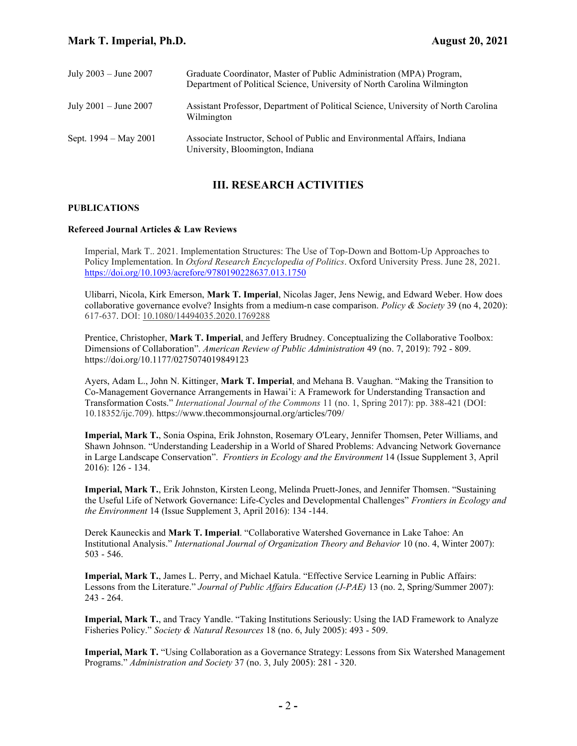| July $2003 -$ June $2007$ | Graduate Coordinator, Master of Public Administration (MPA) Program,<br>Department of Political Science, University of North Carolina Wilmington |
|---------------------------|--------------------------------------------------------------------------------------------------------------------------------------------------|
| July $2001 -$ June $2007$ | Assistant Professor, Department of Political Science, University of North Carolina<br>Wilmington                                                 |
| Sept. 1994 – May 2001     | Associate Instructor, School of Public and Environmental Affairs, Indiana<br>University, Bloomington, Indiana                                    |

# III. RESEARCH ACTIVITIES

#### PUBLICATIONS

### Refereed Journal Articles & Law Reviews

Imperial, Mark T.. 2021. Implementation Structures: The Use of Top-Down and Bottom-Up Approaches to Policy Implementation. In *Oxford Research Encyclopedia of Politics*. Oxford University Press. June 28, 2021. https://doi.org/10.1093/acrefore/9780190228637.013.1750

Ulibarri, Nicola, Kirk Emerson, Mark T. Imperial, Nicolas Jager, Jens Newig, and Edward Weber. How does collaborative governance evolve? Insights from a medium-n case comparison. Policy & Society 39 (no 4, 2020): 617-637. DOI: 10.1080/14494035.2020.1769288

Prentice, Christopher, Mark T. Imperial, and Jeffery Brudney. Conceptualizing the Collaborative Toolbox: Dimensions of Collaboration". American Review of Public Administration 49 (no. 7, 2019): 792 - 809. https://doi.org/10.1177/0275074019849123

Ayers, Adam L., John N. Kittinger, Mark T. Imperial, and Mehana B. Vaughan. "Making the Transition to Co-Management Governance Arrangements in Hawai'i: A Framework for Understanding Transaction and Transformation Costs." International Journal of the Commons 11 (no. 1, Spring 2017): pp. 388-421 (DOI: 10.18352/ijc.709). https://www.thecommonsjournal.org/articles/709/

Imperial, Mark T., Sonia Ospina, Erik Johnston, Rosemary O'Leary, Jennifer Thomsen, Peter Williams, and Shawn Johnson. "Understanding Leadership in a World of Shared Problems: Advancing Network Governance in Large Landscape Conservation". Frontiers in Ecology and the Environment 14 (Issue Supplement 3, April 2016): 126 - 134.

Imperial, Mark T., Erik Johnston, Kirsten Leong, Melinda Pruett-Jones, and Jennifer Thomsen. "Sustaining the Useful Life of Network Governance: Life-Cycles and Developmental Challenges" Frontiers in Ecology and the Environment 14 (Issue Supplement 3, April 2016): 134 -144.

Derek Kauneckis and Mark T. Imperial. "Collaborative Watershed Governance in Lake Tahoe: An Institutional Analysis." International Journal of Organization Theory and Behavior 10 (no. 4, Winter 2007): 503 - 546.

Imperial, Mark T., James L. Perry, and Michael Katula. "Effective Service Learning in Public Affairs: Lessons from the Literature." Journal of Public Affairs Education (J-PAE) 13 (no. 2, Spring/Summer 2007): 243 - 264.

Imperial, Mark T., and Tracy Yandle. "Taking Institutions Seriously: Using the IAD Framework to Analyze Fisheries Policy." Society & Natural Resources 18 (no. 6, July 2005): 493 - 509.

Imperial, Mark T. "Using Collaboration as a Governance Strategy: Lessons from Six Watershed Management Programs." Administration and Society 37 (no. 3, July 2005): 281 - 320.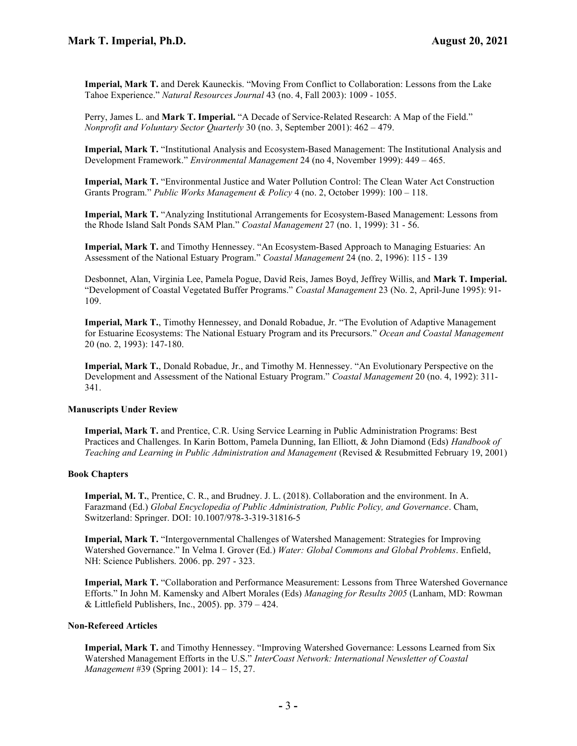Imperial, Mark T. and Derek Kauneckis. "Moving From Conflict to Collaboration: Lessons from the Lake Tahoe Experience." Natural Resources Journal 43 (no. 4, Fall 2003): 1009 - 1055.

Perry, James L. and Mark T. Imperial. "A Decade of Service-Related Research: A Map of the Field." Nonprofit and Voluntary Sector Quarterly 30 (no. 3, September 2001): 462 – 479.

Imperial, Mark T. "Institutional Analysis and Ecosystem-Based Management: The Institutional Analysis and Development Framework." Environmental Management 24 (no 4, November 1999): 449 – 465.

Imperial, Mark T. "Environmental Justice and Water Pollution Control: The Clean Water Act Construction Grants Program." Public Works Management & Policy 4 (no. 2, October 1999): 100 – 118.

Imperial, Mark T. "Analyzing Institutional Arrangements for Ecosystem-Based Management: Lessons from the Rhode Island Salt Ponds SAM Plan." Coastal Management 27 (no. 1, 1999): 31 - 56.

Imperial, Mark T. and Timothy Hennessey. "An Ecosystem-Based Approach to Managing Estuaries: An Assessment of the National Estuary Program." Coastal Management 24 (no. 2, 1996): 115 - 139

Desbonnet, Alan, Virginia Lee, Pamela Pogue, David Reis, James Boyd, Jeffrey Willis, and Mark T. Imperial. "Development of Coastal Vegetated Buffer Programs." Coastal Management 23 (No. 2, April-June 1995): 91-109.

Imperial, Mark T., Timothy Hennessey, and Donald Robadue, Jr. "The Evolution of Adaptive Management for Estuarine Ecosystems: The National Estuary Program and its Precursors." Ocean and Coastal Management 20 (no. 2, 1993): 147-180.

Imperial, Mark T., Donald Robadue, Jr., and Timothy M. Hennessey. "An Evolutionary Perspective on the Development and Assessment of the National Estuary Program." Coastal Management 20 (no. 4, 1992): 311-341.

#### Manuscripts Under Review

Imperial, Mark T. and Prentice, C.R. Using Service Learning in Public Administration Programs: Best Practices and Challenges. In Karin Bottom, Pamela Dunning, Ian Elliott, & John Diamond (Eds) Handbook of Teaching and Learning in Public Administration and Management (Revised & Resubmitted February 19, 2001)

#### Book Chapters

Imperial, M. T., Prentice, C. R., and Brudney. J. L. (2018). Collaboration and the environment. In A. Farazmand (Ed.) Global Encyclopedia of Public Administration, Public Policy, and Governance. Cham, Switzerland: Springer. DOI: 10.1007/978-3-319-31816-5

Imperial, Mark T. "Intergovernmental Challenges of Watershed Management: Strategies for Improving Watershed Governance." In Velma I. Grover (Ed.) Water: Global Commons and Global Problems. Enfield, NH: Science Publishers. 2006. pp. 297 - 323.

Imperial, Mark T. "Collaboration and Performance Measurement: Lessons from Three Watershed Governance Efforts." In John M. Kamensky and Albert Morales (Eds) Managing for Results 2005 (Lanham, MD: Rowman & Littlefield Publishers, Inc., 2005). pp.  $379 - 424$ .

#### Non-Refereed Articles

Imperial, Mark T. and Timothy Hennessey. "Improving Watershed Governance: Lessons Learned from Six Watershed Management Efforts in the U.S." InterCoast Network: International Newsletter of Coastal Management #39 (Spring 2001): 14 – 15, 27.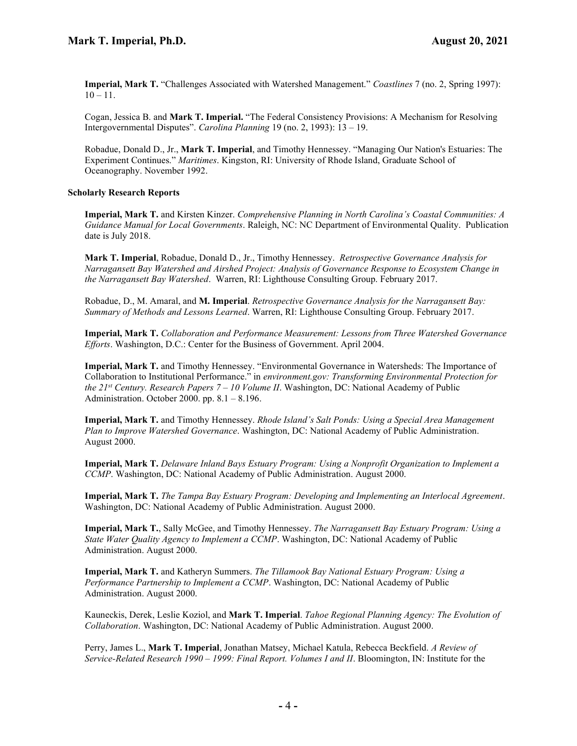Imperial, Mark T. "Challenges Associated with Watershed Management." Coastlines 7 (no. 2, Spring 1997):  $10 - 11.$ 

Cogan, Jessica B. and Mark T. Imperial. "The Federal Consistency Provisions: A Mechanism for Resolving Intergovernmental Disputes". Carolina Planning 19 (no. 2, 1993): 13 – 19.

Robadue, Donald D., Jr., Mark T. Imperial, and Timothy Hennessey. "Managing Our Nation's Estuaries: The Experiment Continues." Maritimes. Kingston, RI: University of Rhode Island, Graduate School of Oceanography. November 1992.

# Scholarly Research Reports

Imperial, Mark T. and Kirsten Kinzer. Comprehensive Planning in North Carolina's Coastal Communities: A Guidance Manual for Local Governments. Raleigh, NC: NC Department of Environmental Quality. Publication date is July 2018.

Mark T. Imperial, Robadue, Donald D., Jr., Timothy Hennessey. Retrospective Governance Analysis for Narragansett Bay Watershed and Airshed Project: Analysis of Governance Response to Ecosystem Change in the Narragansett Bay Watershed. Warren, RI: Lighthouse Consulting Group. February 2017.

Robadue, D., M. Amaral, and M. Imperial. Retrospective Governance Analysis for the Narragansett Bay: Summary of Methods and Lessons Learned. Warren, RI: Lighthouse Consulting Group. February 2017.

Imperial, Mark T. Collaboration and Performance Measurement: Lessons from Three Watershed Governance Efforts. Washington, D.C.: Center for the Business of Government. April 2004.

Imperial, Mark T. and Timothy Hennessey. "Environmental Governance in Watersheds: The Importance of Collaboration to Institutional Performance." in environment.gov: Transforming Environmental Protection for the 21<sup>st</sup> Century. Research Papers  $7 - 10$  Volume II. Washington, DC: National Academy of Public Administration. October 2000. pp.  $8.1 - 8.196$ .

Imperial, Mark T. and Timothy Hennessey. Rhode Island's Salt Ponds: Using a Special Area Management Plan to Improve Watershed Governance. Washington, DC: National Academy of Public Administration. August 2000.

Imperial, Mark T. Delaware Inland Bays Estuary Program: Using a Nonprofit Organization to Implement a CCMP. Washington, DC: National Academy of Public Administration. August 2000.

Imperial, Mark T. The Tampa Bay Estuary Program: Developing and Implementing an Interlocal Agreement. Washington, DC: National Academy of Public Administration. August 2000.

Imperial, Mark T., Sally McGee, and Timothy Hennessey. The Narragansett Bay Estuary Program: Using a State Water Quality Agency to Implement a CCMP. Washington, DC: National Academy of Public Administration. August 2000.

**Imperial, Mark T.** and Katheryn Summers. The Tillamook Bay National Estuary Program: Using a Performance Partnership to Implement a CCMP. Washington, DC: National Academy of Public Administration. August 2000.

Kauneckis, Derek, Leslie Koziol, and **Mark T. Imperial**. Tahoe Regional Planning Agency: The Evolution of Collaboration. Washington, DC: National Academy of Public Administration. August 2000.

Perry, James L., Mark T. Imperial, Jonathan Matsey, Michael Katula, Rebecca Beckfield. A Review of Service-Related Research 1990 – 1999: Final Report. Volumes I and II. Bloomington, IN: Institute for the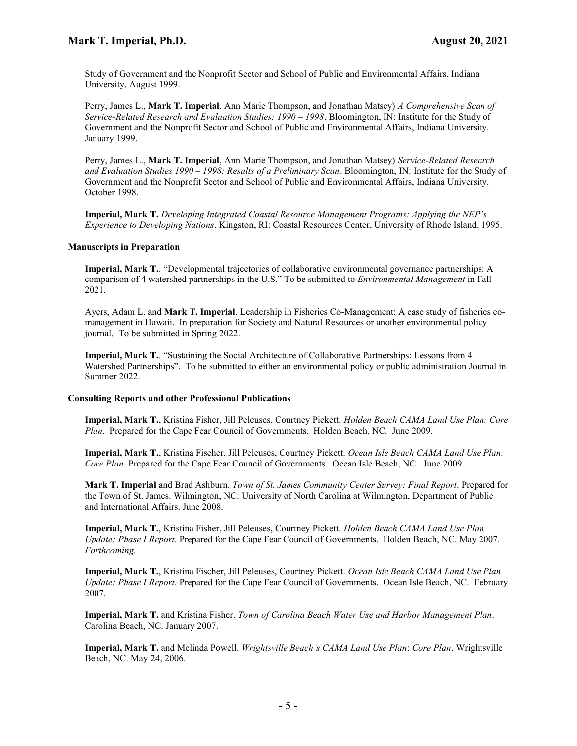Study of Government and the Nonprofit Sector and School of Public and Environmental Affairs, Indiana University. August 1999.

Perry, James L., Mark T. Imperial, Ann Marie Thompson, and Jonathan Matsey) A Comprehensive Scan of Service-Related Research and Evaluation Studies: 1990 – 1998. Bloomington, IN: Institute for the Study of Government and the Nonprofit Sector and School of Public and Environmental Affairs, Indiana University. January 1999.

Perry, James L., Mark T. Imperial, Ann Marie Thompson, and Jonathan Matsey) Service-Related Research and Evaluation Studies 1990 – 1998: Results of a Preliminary Scan. Bloomington, IN: Institute for the Study of Government and the Nonprofit Sector and School of Public and Environmental Affairs, Indiana University. October 1998.

Imperial, Mark T. Developing Integrated Coastal Resource Management Programs: Applying the NEP's Experience to Developing Nations. Kingston, RI: Coastal Resources Center, University of Rhode Island. 1995.

## Manuscripts in Preparation

Imperial, Mark T.. "Developmental trajectories of collaborative environmental governance partnerships: A comparison of 4 watershed partnerships in the U.S." To be submitted to Environmental Management in Fall 2021.

Ayers, Adam L. and Mark T. Imperial. Leadership in Fisheries Co-Management: A case study of fisheries comanagement in Hawaii. In preparation for Society and Natural Resources or another environmental policy journal. To be submitted in Spring 2022.

Imperial, Mark T.. "Sustaining the Social Architecture of Collaborative Partnerships: Lessons from 4 Watershed Partnerships". To be submitted to either an environmental policy or public administration Journal in Summer 2022.

### Consulting Reports and other Professional Publications

Imperial, Mark T., Kristina Fisher, Jill Peleuses, Courtney Pickett. Holden Beach CAMA Land Use Plan: Core Plan. Prepared for the Cape Fear Council of Governments. Holden Beach, NC. June 2009.

Imperial, Mark T., Kristina Fischer, Jill Peleuses, Courtney Pickett. Ocean Isle Beach CAMA Land Use Plan: Core Plan. Prepared for the Cape Fear Council of Governments. Ocean Isle Beach, NC. June 2009.

Mark T. Imperial and Brad Ashburn. Town of St. James Community Center Survey: Final Report. Prepared for the Town of St. James. Wilmington, NC: University of North Carolina at Wilmington, Department of Public and International Affairs. June 2008.

Imperial, Mark T., Kristina Fisher, Jill Peleuses, Courtney Pickett. Holden Beach CAMA Land Use Plan Update: Phase I Report. Prepared for the Cape Fear Council of Governments. Holden Beach, NC. May 2007. Forthcoming.

Imperial, Mark T., Kristina Fischer, Jill Peleuses, Courtney Pickett. Ocean Isle Beach CAMA Land Use Plan Update: Phase I Report. Prepared for the Cape Fear Council of Governments. Ocean Isle Beach, NC. February 2007.

Imperial, Mark T. and Kristina Fisher. Town of Carolina Beach Water Use and Harbor Management Plan. Carolina Beach, NC. January 2007.

Imperial, Mark T. and Melinda Powell. Wrightsville Beach's CAMA Land Use Plan: Core Plan. Wrightsville Beach, NC. May 24, 2006.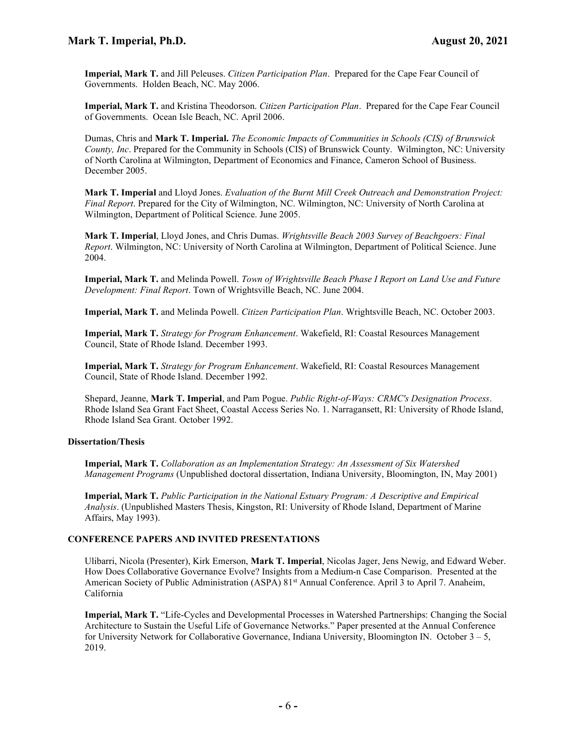Imperial, Mark T. and Jill Peleuses. Citizen Participation Plan. Prepared for the Cape Fear Council of Governments. Holden Beach, NC. May 2006.

Imperial, Mark T. and Kristina Theodorson. Citizen Participation Plan. Prepared for the Cape Fear Council of Governments. Ocean Isle Beach, NC. April 2006.

Dumas, Chris and Mark T. Imperial. The Economic Impacts of Communities in Schools (CIS) of Brunswick County, Inc. Prepared for the Community in Schools (CIS) of Brunswick County. Wilmington, NC: University of North Carolina at Wilmington, Department of Economics and Finance, Cameron School of Business. December 2005.

Mark T. Imperial and Lloyd Jones. Evaluation of the Burnt Mill Creek Outreach and Demonstration Project: Final Report. Prepared for the City of Wilmington, NC. Wilmington, NC: University of North Carolina at Wilmington, Department of Political Science. June 2005.

Mark T. Imperial, Lloyd Jones, and Chris Dumas. Wrightsville Beach 2003 Survey of Beachgoers: Final Report. Wilmington, NC: University of North Carolina at Wilmington, Department of Political Science. June 2004.

Imperial, Mark T. and Melinda Powell. Town of Wrightsville Beach Phase I Report on Land Use and Future Development: Final Report. Town of Wrightsville Beach, NC. June 2004.

Imperial, Mark T. and Melinda Powell. Citizen Participation Plan. Wrightsville Beach, NC. October 2003.

Imperial, Mark T. Strategy for Program Enhancement. Wakefield, RI: Coastal Resources Management Council, State of Rhode Island. December 1993.

**Imperial, Mark T.** Strategy for Program Enhancement. Wakefield, RI: Coastal Resources Management Council, State of Rhode Island. December 1992.

Shepard, Jeanne, Mark T. Imperial, and Pam Pogue. Public Right-of-Ways: CRMC's Designation Process. Rhode Island Sea Grant Fact Sheet, Coastal Access Series No. 1. Narragansett, RI: University of Rhode Island, Rhode Island Sea Grant. October 1992.

# Dissertation/Thesis

Imperial, Mark T. Collaboration as an Implementation Strategy: An Assessment of Six Watershed Management Programs (Unpublished doctoral dissertation, Indiana University, Bloomington, IN, May 2001)

Imperial, Mark T. Public Participation in the National Estuary Program: A Descriptive and Empirical Analysis. (Unpublished Masters Thesis, Kingston, RI: University of Rhode Island, Department of Marine Affairs, May 1993).

# CONFERENCE PAPERS AND INVITED PRESENTATIONS

Ulibarri, Nicola (Presenter), Kirk Emerson, Mark T. Imperial, Nicolas Jager, Jens Newig, and Edward Weber. How Does Collaborative Governance Evolve? Insights from a Medium-n Case Comparison. Presented at the American Society of Public Administration (ASPA) 81<sup>st</sup> Annual Conference. April 3 to April 7. Anaheim, California

Imperial, Mark T. "Life-Cycles and Developmental Processes in Watershed Partnerships: Changing the Social Architecture to Sustain the Useful Life of Governance Networks." Paper presented at the Annual Conference for University Network for Collaborative Governance, Indiana University, Bloomington IN. October  $3 - 5$ , 2019.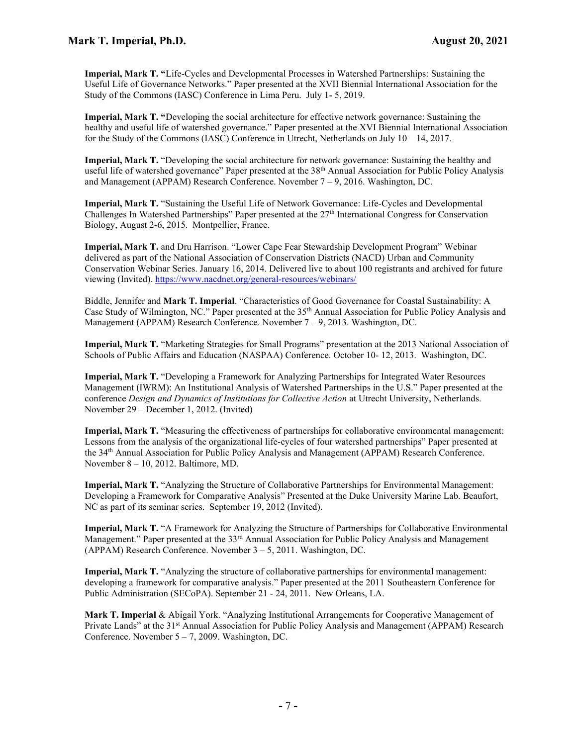Imperial, Mark T. "Life-Cycles and Developmental Processes in Watershed Partnerships: Sustaining the Useful Life of Governance Networks." Paper presented at the XVII Biennial International Association for the Study of the Commons (IASC) Conference in Lima Peru. July 1- 5, 2019.

Imperial, Mark T. "Developing the social architecture for effective network governance: Sustaining the healthy and useful life of watershed governance." Paper presented at the XVI Biennial International Association for the Study of the Commons (IASC) Conference in Utrecht, Netherlands on July 10 – 14, 2017.

Imperial, Mark T. "Developing the social architecture for network governance: Sustaining the healthy and useful life of watershed governance" Paper presented at the 38<sup>th</sup> Annual Association for Public Policy Analysis and Management (APPAM) Research Conference. November 7 – 9, 2016. Washington, DC.

Imperial, Mark T. "Sustaining the Useful Life of Network Governance: Life-Cycles and Developmental Challenges In Watershed Partnerships" Paper presented at the  $27<sup>th</sup>$  International Congress for Conservation Biology, August 2-6, 2015. Montpellier, France.

Imperial, Mark T. and Dru Harrison. "Lower Cape Fear Stewardship Development Program" Webinar delivered as part of the National Association of Conservation Districts (NACD) Urban and Community Conservation Webinar Series. January 16, 2014. Delivered live to about 100 registrants and archived for future viewing (Invited). https://www.nacdnet.org/general-resources/webinars/

Biddle, Jennifer and Mark T. Imperial. "Characteristics of Good Governance for Coastal Sustainability: A Case Study of Wilmington, NC." Paper presented at the 35<sup>th</sup> Annual Association for Public Policy Analysis and Management (APPAM) Research Conference. November 7 – 9, 2013. Washington, DC.

Imperial, Mark T. "Marketing Strategies for Small Programs" presentation at the 2013 National Association of Schools of Public Affairs and Education (NASPAA) Conference. October 10- 12, 2013. Washington, DC.

Imperial, Mark T. "Developing a Framework for Analyzing Partnerships for Integrated Water Resources Management (IWRM): An Institutional Analysis of Watershed Partnerships in the U.S." Paper presented at the conference Design and Dynamics of Institutions for Collective Action at Utrecht University, Netherlands. November 29 – December 1, 2012. (Invited)

Imperial, Mark T. "Measuring the effectiveness of partnerships for collaborative environmental management: Lessons from the analysis of the organizational life-cycles of four watershed partnerships" Paper presented at the 34th Annual Association for Public Policy Analysis and Management (APPAM) Research Conference. November 8 – 10, 2012. Baltimore, MD.

Imperial, Mark T. "Analyzing the Structure of Collaborative Partnerships for Environmental Management: Developing a Framework for Comparative Analysis" Presented at the Duke University Marine Lab. Beaufort, NC as part of its seminar series. September 19, 2012 (Invited).

Imperial, Mark T. "A Framework for Analyzing the Structure of Partnerships for Collaborative Environmental Management." Paper presented at the 33<sup>rd</sup> Annual Association for Public Policy Analysis and Management (APPAM) Research Conference. November 3 – 5, 2011. Washington, DC.

Imperial, Mark T. "Analyzing the structure of collaborative partnerships for environmental management: developing a framework for comparative analysis." Paper presented at the 2011 Southeastern Conference for Public Administration (SECoPA). September 21 - 24, 2011. New Orleans, LA.

Mark T. Imperial & Abigail York. "Analyzing Institutional Arrangements for Cooperative Management of Private Lands" at the 31<sup>st</sup> Annual Association for Public Policy Analysis and Management (APPAM) Research Conference. November  $5 - 7$ , 2009. Washington, DC.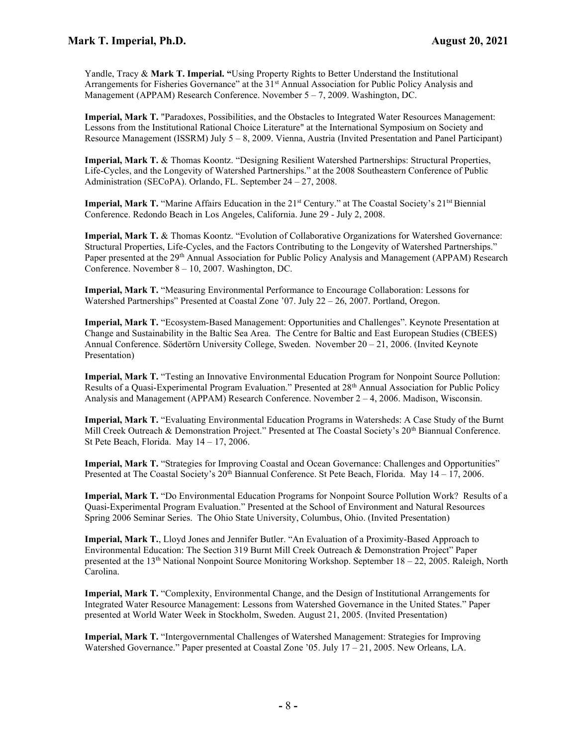Yandle, Tracy & Mark T. Imperial. "Using Property Rights to Better Understand the Institutional Arrangements for Fisheries Governance" at the 31<sup>st</sup> Annual Association for Public Policy Analysis and Management (APPAM) Research Conference. November 5 – 7, 2009. Washington, DC.

Imperial, Mark T. "Paradoxes, Possibilities, and the Obstacles to Integrated Water Resources Management: Lessons from the Institutional Rational Choice Literature" at the International Symposium on Society and Resource Management (ISSRM) July 5 – 8, 2009. Vienna, Austria (Invited Presentation and Panel Participant)

Imperial, Mark T. & Thomas Koontz. "Designing Resilient Watershed Partnerships: Structural Properties, Life-Cycles, and the Longevity of Watershed Partnerships." at the 2008 Southeastern Conference of Public Administration (SECoPA). Orlando, FL. September 24 – 27, 2008.

**Imperial, Mark T.** "Marine Affairs Education in the  $21<sup>st</sup>$  Century." at The Coastal Society's  $21<sup>tst</sup>$  Biennial Conference. Redondo Beach in Los Angeles, California. June 29 - July 2, 2008.

Imperial, Mark T. & Thomas Koontz. "Evolution of Collaborative Organizations for Watershed Governance: Structural Properties, Life-Cycles, and the Factors Contributing to the Longevity of Watershed Partnerships." Paper presented at the 29<sup>th</sup> Annual Association for Public Policy Analysis and Management (APPAM) Research Conference. November 8 – 10, 2007. Washington, DC.

Imperial, Mark T. "Measuring Environmental Performance to Encourage Collaboration: Lessons for Watershed Partnerships" Presented at Coastal Zone '07. July 22 – 26, 2007. Portland, Oregon.

Imperial, Mark T. "Ecosystem-Based Management: Opportunities and Challenges". Keynote Presentation at Change and Sustainability in the Baltic Sea Area. The Centre for Baltic and East European Studies (CBEES) Annual Conference. Södertörn University College, Sweden. November 20 – 21, 2006. (Invited Keynote Presentation)

Imperial, Mark T. "Testing an Innovative Environmental Education Program for Nonpoint Source Pollution: Results of a Quasi-Experimental Program Evaluation." Presented at 28th Annual Association for Public Policy Analysis and Management (APPAM) Research Conference. November 2 – 4, 2006. Madison, Wisconsin.

Imperial, Mark T. "Evaluating Environmental Education Programs in Watersheds: A Case Study of the Burnt Mill Creek Outreach & Demonstration Project." Presented at The Coastal Society's 20<sup>th</sup> Biannual Conference. St Pete Beach, Florida. May  $14 - 17$ , 2006.

Imperial, Mark T. "Strategies for Improving Coastal and Ocean Governance: Challenges and Opportunities" Presented at The Coastal Society's 20<sup>th</sup> Biannual Conference. St Pete Beach, Florida. May 14 – 17, 2006.

Imperial, Mark T. "Do Environmental Education Programs for Nonpoint Source Pollution Work? Results of a Quasi-Experimental Program Evaluation." Presented at the School of Environment and Natural Resources Spring 2006 Seminar Series. The Ohio State University, Columbus, Ohio. (Invited Presentation)

Imperial, Mark T., Lloyd Jones and Jennifer Butler. "An Evaluation of a Proximity-Based Approach to Environmental Education: The Section 319 Burnt Mill Creek Outreach & Demonstration Project" Paper presented at the 13<sup>th</sup> National Nonpoint Source Monitoring Workshop. September  $18 - 22$ , 2005. Raleigh, North Carolina.

Imperial, Mark T. "Complexity, Environmental Change, and the Design of Institutional Arrangements for Integrated Water Resource Management: Lessons from Watershed Governance in the United States." Paper presented at World Water Week in Stockholm, Sweden. August 21, 2005. (Invited Presentation)

Imperial, Mark T. "Intergovernmental Challenges of Watershed Management: Strategies for Improving Watershed Governance." Paper presented at Coastal Zone '05. July 17 – 21, 2005. New Orleans, LA.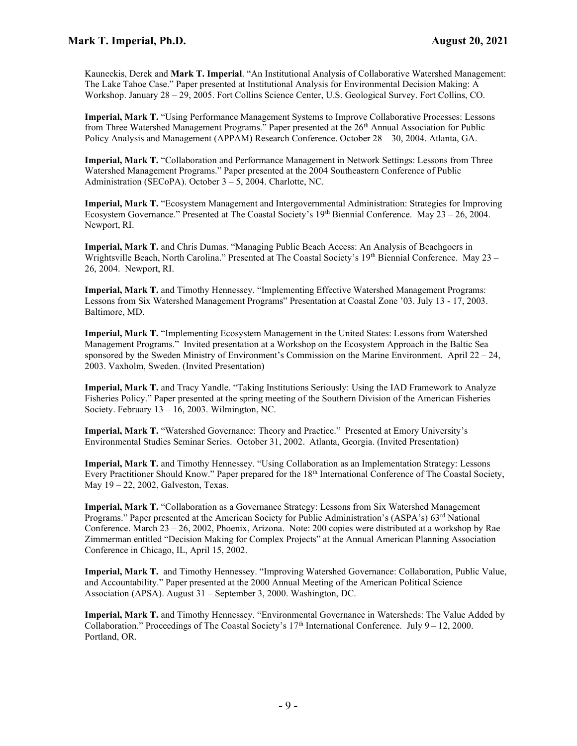Kauneckis, Derek and Mark T. Imperial. "An Institutional Analysis of Collaborative Watershed Management: The Lake Tahoe Case." Paper presented at Institutional Analysis for Environmental Decision Making: A Workshop. January 28 – 29, 2005. Fort Collins Science Center, U.S. Geological Survey. Fort Collins, CO.

Imperial, Mark T. "Using Performance Management Systems to Improve Collaborative Processes: Lessons from Three Watershed Management Programs." Paper presented at the 26<sup>th</sup> Annual Association for Public Policy Analysis and Management (APPAM) Research Conference. October 28 – 30, 2004. Atlanta, GA.

Imperial, Mark T. "Collaboration and Performance Management in Network Settings: Lessons from Three Watershed Management Programs." Paper presented at the 2004 Southeastern Conference of Public Administration (SECoPA). October 3 – 5, 2004. Charlotte, NC.

Imperial, Mark T. "Ecosystem Management and Intergovernmental Administration: Strategies for Improving Ecosystem Governance." Presented at The Coastal Society's  $19<sup>th</sup>$  Biennial Conference. May 23 – 26, 2004. Newport, RI.

Imperial, Mark T. and Chris Dumas. "Managing Public Beach Access: An Analysis of Beachgoers in Wrightsville Beach, North Carolina." Presented at The Coastal Society's 19<sup>th</sup> Biennial Conference. May 23 – 26, 2004. Newport, RI.

Imperial, Mark T. and Timothy Hennessey. "Implementing Effective Watershed Management Programs: Lessons from Six Watershed Management Programs" Presentation at Coastal Zone '03. July 13 - 17, 2003. Baltimore, MD.

Imperial, Mark T. "Implementing Ecosystem Management in the United States: Lessons from Watershed Management Programs." Invited presentation at a Workshop on the Ecosystem Approach in the Baltic Sea sponsored by the Sweden Ministry of Environment's Commission on the Marine Environment. April  $22 - 24$ , 2003. Vaxholm, Sweden. (Invited Presentation)

Imperial, Mark T. and Tracy Yandle. "Taking Institutions Seriously: Using the IAD Framework to Analyze Fisheries Policy." Paper presented at the spring meeting of the Southern Division of the American Fisheries Society. February 13 – 16, 2003. Wilmington, NC.

Imperial, Mark T. "Watershed Governance: Theory and Practice." Presented at Emory University's Environmental Studies Seminar Series. October 31, 2002. Atlanta, Georgia. (Invited Presentation)

Imperial, Mark T. and Timothy Hennessey. "Using Collaboration as an Implementation Strategy: Lessons Every Practitioner Should Know." Paper prepared for the 18<sup>th</sup> International Conference of The Coastal Society, May 19 – 22, 2002, Galveston, Texas.

Imperial, Mark T. "Collaboration as a Governance Strategy: Lessons from Six Watershed Management Programs." Paper presented at the American Society for Public Administration's (ASPA's)  $63<sup>rd</sup>$  National Conference. March  $23 - 26$ , 2002, Phoenix, Arizona. Note: 200 copies were distributed at a workshop by Rae Zimmerman entitled "Decision Making for Complex Projects" at the Annual American Planning Association Conference in Chicago, IL, April 15, 2002.

Imperial, Mark T. and Timothy Hennessey. "Improving Watershed Governance: Collaboration, Public Value, and Accountability." Paper presented at the 2000 Annual Meeting of the American Political Science Association (APSA). August 31 – September 3, 2000. Washington, DC.

Imperial, Mark T. and Timothy Hennessey. "Environmental Governance in Watersheds: The Value Added by Collaboration." Proceedings of The Coastal Society's 17<sup>th</sup> International Conference. July 9 – 12, 2000. Portland, OR.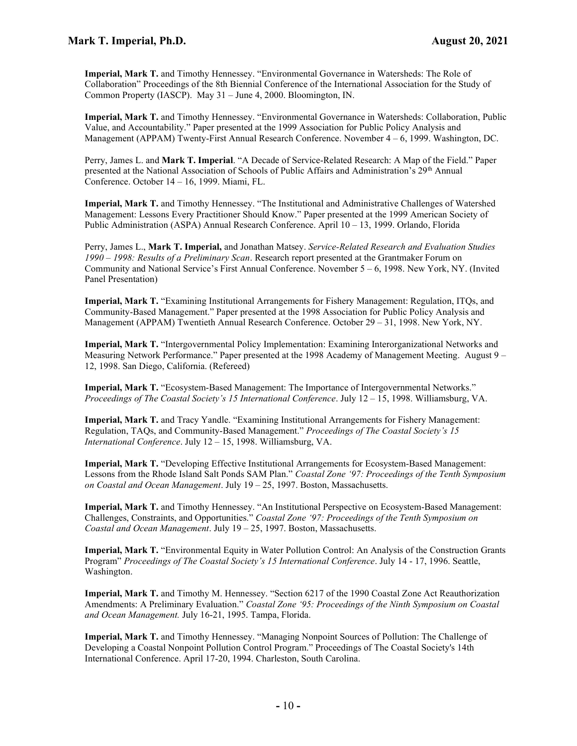Imperial, Mark T. and Timothy Hennessey. "Environmental Governance in Watersheds: The Role of Collaboration" Proceedings of the 8th Biennial Conference of the International Association for the Study of Common Property (IASCP). May 31 – June 4, 2000. Bloomington, IN.

Imperial, Mark T. and Timothy Hennessey. "Environmental Governance in Watersheds: Collaboration, Public Value, and Accountability." Paper presented at the 1999 Association for Public Policy Analysis and Management (APPAM) Twenty-First Annual Research Conference. November 4 – 6, 1999. Washington, DC.

Perry, James L. and Mark T. Imperial. "A Decade of Service-Related Research: A Map of the Field." Paper presented at the National Association of Schools of Public Affairs and Administration's 29<sup>th</sup> Annual Conference. October 14 – 16, 1999. Miami, FL.

Imperial, Mark T. and Timothy Hennessey. "The Institutional and Administrative Challenges of Watershed Management: Lessons Every Practitioner Should Know." Paper presented at the 1999 American Society of Public Administration (ASPA) Annual Research Conference. April 10 – 13, 1999. Orlando, Florida

Perry, James L., Mark T. Imperial, and Jonathan Matsey. Service-Related Research and Evaluation Studies 1990 – 1998: Results of a Preliminary Scan. Research report presented at the Grantmaker Forum on Community and National Service's First Annual Conference. November 5 – 6, 1998. New York, NY. (Invited Panel Presentation)

Imperial, Mark T. "Examining Institutional Arrangements for Fishery Management: Regulation, ITQs, and Community-Based Management." Paper presented at the 1998 Association for Public Policy Analysis and Management (APPAM) Twentieth Annual Research Conference. October 29 – 31, 1998. New York, NY.

Imperial, Mark T. "Intergovernmental Policy Implementation: Examining Interorganizational Networks and Measuring Network Performance." Paper presented at the 1998 Academy of Management Meeting. August 9 – 12, 1998. San Diego, California. (Refereed)

Imperial, Mark T. "Ecosystem-Based Management: The Importance of Intergovernmental Networks." Proceedings of The Coastal Society's 15 International Conference. July 12 – 15, 1998. Williamsburg, VA.

Imperial, Mark T. and Tracy Yandle. "Examining Institutional Arrangements for Fishery Management: Regulation, TAQs, and Community-Based Management." Proceedings of The Coastal Society's 15 International Conference. July 12 – 15, 1998. Williamsburg, VA.

Imperial, Mark T. "Developing Effective Institutional Arrangements for Ecosystem-Based Management: Lessons from the Rhode Island Salt Ponds SAM Plan." Coastal Zone '97: Proceedings of the Tenth Symposium on Coastal and Ocean Management. July  $19 - 25$ , 1997. Boston, Massachusetts.

Imperial, Mark T. and Timothy Hennessey. "An Institutional Perspective on Ecosystem-Based Management: Challenges, Constraints, and Opportunities." Coastal Zone '97: Proceedings of the Tenth Symposium on Coastal and Ocean Management. July 19 – 25, 1997. Boston, Massachusetts.

Imperial, Mark T. "Environmental Equity in Water Pollution Control: An Analysis of the Construction Grants Program" Proceedings of The Coastal Society's 15 International Conference. July 14 - 17, 1996. Seattle, Washington.

Imperial, Mark T. and Timothy M. Hennessey. "Section 6217 of the 1990 Coastal Zone Act Reauthorization Amendments: A Preliminary Evaluation." Coastal Zone '95: Proceedings of the Ninth Symposium on Coastal and Ocean Management. July 16-21, 1995. Tampa, Florida.

Imperial, Mark T. and Timothy Hennessey. "Managing Nonpoint Sources of Pollution: The Challenge of Developing a Coastal Nonpoint Pollution Control Program." Proceedings of The Coastal Society's 14th International Conference. April 17-20, 1994. Charleston, South Carolina.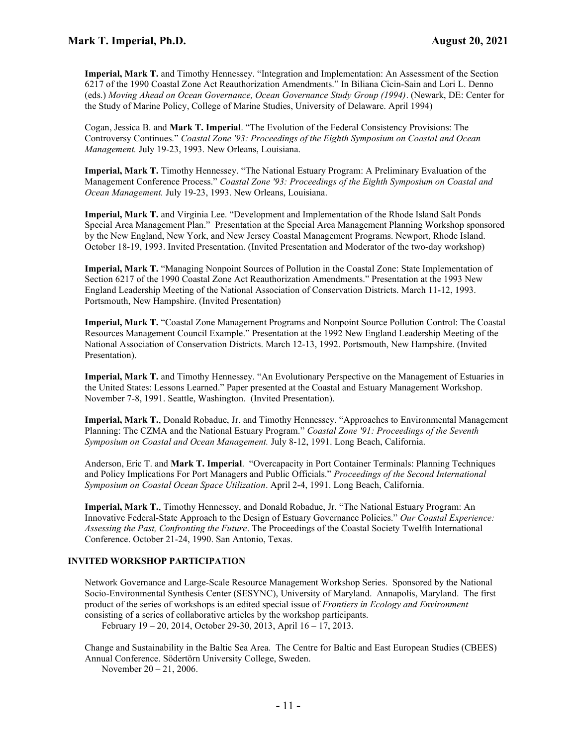Imperial, Mark T. and Timothy Hennessey. "Integration and Implementation: An Assessment of the Section 6217 of the 1990 Coastal Zone Act Reauthorization Amendments." In Biliana Cicin-Sain and Lori L. Denno (eds.) Moving Ahead on Ocean Governance, Ocean Governance Study Group (1994). (Newark, DE: Center for the Study of Marine Policy, College of Marine Studies, University of Delaware. April 1994)

Cogan, Jessica B. and Mark T. Imperial. "The Evolution of the Federal Consistency Provisions: The Controversy Continues." Coastal Zone '93: Proceedings of the Eighth Symposium on Coastal and Ocean Management. July 19-23, 1993. New Orleans, Louisiana.

Imperial, Mark T. Timothy Hennessey. "The National Estuary Program: A Preliminary Evaluation of the Management Conference Process." Coastal Zone '93: Proceedings of the Eighth Symposium on Coastal and Ocean Management. July 19-23, 1993. New Orleans, Louisiana.

Imperial, Mark T. and Virginia Lee. "Development and Implementation of the Rhode Island Salt Ponds Special Area Management Plan." Presentation at the Special Area Management Planning Workshop sponsored by the New England, New York, and New Jersey Coastal Management Programs. Newport, Rhode Island. October 18-19, 1993. Invited Presentation. (Invited Presentation and Moderator of the two-day workshop)

Imperial, Mark T. "Managing Nonpoint Sources of Pollution in the Coastal Zone: State Implementation of Section 6217 of the 1990 Coastal Zone Act Reauthorization Amendments." Presentation at the 1993 New England Leadership Meeting of the National Association of Conservation Districts. March 11-12, 1993. Portsmouth, New Hampshire. (Invited Presentation)

Imperial, Mark T. "Coastal Zone Management Programs and Nonpoint Source Pollution Control: The Coastal Resources Management Council Example." Presentation at the 1992 New England Leadership Meeting of the National Association of Conservation Districts. March 12-13, 1992. Portsmouth, New Hampshire. (Invited Presentation).

Imperial, Mark T. and Timothy Hennessey. "An Evolutionary Perspective on the Management of Estuaries in the United States: Lessons Learned." Paper presented at the Coastal and Estuary Management Workshop. November 7-8, 1991. Seattle, Washington. (Invited Presentation).

Imperial, Mark T., Donald Robadue, Jr. and Timothy Hennessey. "Approaches to Environmental Management Planning: The CZMA and the National Estuary Program." Coastal Zone '91: Proceedings of the Seventh Symposium on Coastal and Ocean Management. July 8-12, 1991. Long Beach, California.

Anderson, Eric T. and Mark T. Imperial. "Overcapacity in Port Container Terminals: Planning Techniques and Policy Implications For Port Managers and Public Officials." Proceedings of the Second International Symposium on Coastal Ocean Space Utilization. April 2-4, 1991. Long Beach, California.

Imperial, Mark T., Timothy Hennessey, and Donald Robadue, Jr. "The National Estuary Program: An Innovative Federal-State Approach to the Design of Estuary Governance Policies." Our Coastal Experience: Assessing the Past, Confronting the Future. The Proceedings of the Coastal Society Twelfth International Conference. October 21-24, 1990. San Antonio, Texas.

# INVITED WORKSHOP PARTICIPATION

Network Governance and Large-Scale Resource Management Workshop Series. Sponsored by the National Socio-Environmental Synthesis Center (SESYNC), University of Maryland. Annapolis, Maryland. The first product of the series of workshops is an edited special issue of *Frontiers in Ecology and Environment* consisting of a series of collaborative articles by the workshop participants.

February 19 – 20, 2014, October 29-30, 2013, April 16 – 17, 2013.

Change and Sustainability in the Baltic Sea Area. The Centre for Baltic and East European Studies (CBEES) Annual Conference. Södertörn University College, Sweden.

November 20 – 21, 2006.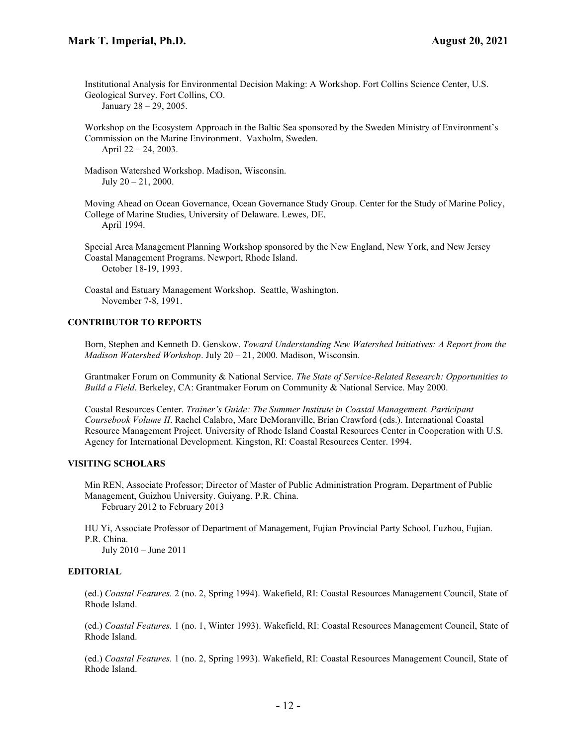Institutional Analysis for Environmental Decision Making: A Workshop. Fort Collins Science Center, U.S. Geological Survey. Fort Collins, CO.

January 28 – 29, 2005.

Workshop on the Ecosystem Approach in the Baltic Sea sponsored by the Sweden Ministry of Environment's Commission on the Marine Environment. Vaxholm, Sweden. April 22 – 24, 2003.

Madison Watershed Workshop. Madison, Wisconsin. July  $20 - 21$ ,  $2000$ .

Moving Ahead on Ocean Governance, Ocean Governance Study Group. Center for the Study of Marine Policy, College of Marine Studies, University of Delaware. Lewes, DE. April 1994.

Special Area Management Planning Workshop sponsored by the New England, New York, and New Jersey Coastal Management Programs. Newport, Rhode Island. October 18-19, 1993.

Coastal and Estuary Management Workshop. Seattle, Washington. November 7-8, 1991.

## CONTRIBUTOR TO REPORTS

Born, Stephen and Kenneth D. Genskow. Toward Understanding New Watershed Initiatives: A Report from the Madison Watershed Workshop. July  $20 - 21$ , 2000. Madison, Wisconsin.

Grantmaker Forum on Community & National Service. The State of Service-Related Research: Opportunities to Build a Field. Berkeley, CA: Grantmaker Forum on Community & National Service. May 2000.

Coastal Resources Center. Trainer's Guide: The Summer Institute in Coastal Management. Participant Coursebook Volume II. Rachel Calabro, Marc DeMoranville, Brian Crawford (eds.). International Coastal Resource Management Project. University of Rhode Island Coastal Resources Center in Cooperation with U.S. Agency for International Development. Kingston, RI: Coastal Resources Center. 1994.

## VISITING SCHOLARS

Min REN, Associate Professor; Director of Master of Public Administration Program. Department of Public Management, Guizhou University. Guiyang. P.R. China. February 2012 to February 2013

HU Yi, Associate Professor of Department of Management, Fujian Provincial Party School. Fuzhou, Fujian. P.R. China.

July 2010 – June 2011

#### EDITORIAL

(ed.) Coastal Features. 2 (no. 2, Spring 1994). Wakefield, RI: Coastal Resources Management Council, State of Rhode Island.

(ed.) Coastal Features. 1 (no. 1, Winter 1993). Wakefield, RI: Coastal Resources Management Council, State of Rhode Island.

(ed.) Coastal Features. 1 (no. 2, Spring 1993). Wakefield, RI: Coastal Resources Management Council, State of Rhode Island.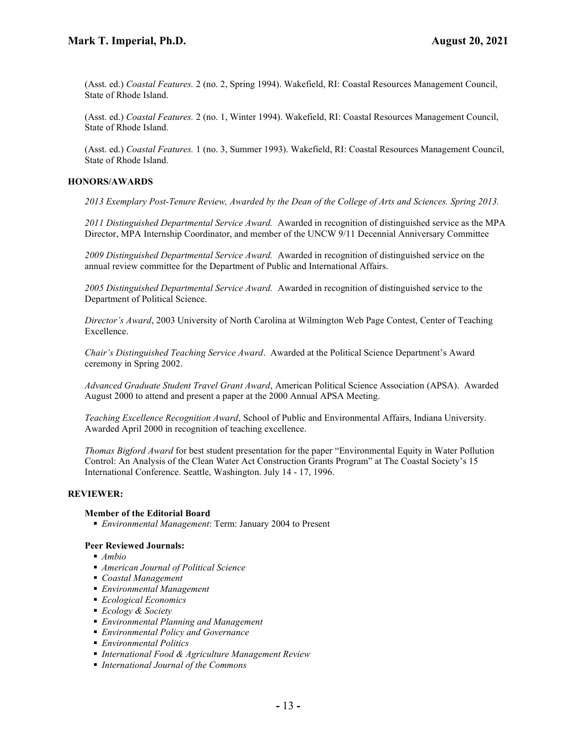(Asst. ed.) Coastal Features. 2 (no. 2, Spring 1994). Wakefield, RI: Coastal Resources Management Council, State of Rhode Island.

(Asst. ed.) Coastal Features. 2 (no. 1, Winter 1994). Wakefield, RI: Coastal Resources Management Council, State of Rhode Island.

(Asst. ed.) Coastal Features. 1 (no. 3, Summer 1993). Wakefield, RI: Coastal Resources Management Council, State of Rhode Island.

## HONORS/AWARDS

2013 Exemplary Post-Tenure Review, Awarded by the Dean of the College of Arts and Sciences. Spring 2013.

2011 Distinguished Departmental Service Award. Awarded in recognition of distinguished service as the MPA Director, MPA Internship Coordinator, and member of the UNCW 9/11 Decennial Anniversary Committee

2009 Distinguished Departmental Service Award. Awarded in recognition of distinguished service on the annual review committee for the Department of Public and International Affairs.

2005 Distinguished Departmental Service Award. Awarded in recognition of distinguished service to the Department of Political Science.

Director's Award, 2003 University of North Carolina at Wilmington Web Page Contest, Center of Teaching Excellence.

Chair's Distinguished Teaching Service Award. Awarded at the Political Science Department's Award ceremony in Spring 2002.

Advanced Graduate Student Travel Grant Award, American Political Science Association (APSA). Awarded August 2000 to attend and present a paper at the 2000 Annual APSA Meeting.

Teaching Excellence Recognition Award, School of Public and Environmental Affairs, Indiana University. Awarded April 2000 in recognition of teaching excellence.

Thomas Bigford Award for best student presentation for the paper "Environmental Equity in Water Pollution Control: An Analysis of the Clean Water Act Construction Grants Program" at The Coastal Society's 15 International Conference. Seattle, Washington. July 14 - 17, 1996.

# REVIEWER:

#### Member of the Editorial Board

■ *Environmental Management*: Term: January 2004 to Present

#### Peer Reviewed Journals:

- $Ambio$
- American Journal of Political Science
- Coastal Management
- Environmental Management
- **Ecological Economics**
- Ecology & Society
- **Environmental Planning and Management**
- Environmental Policy and Governance
- Environmental Politics
- International Food & Agriculture Management Review
- International Journal of the Commons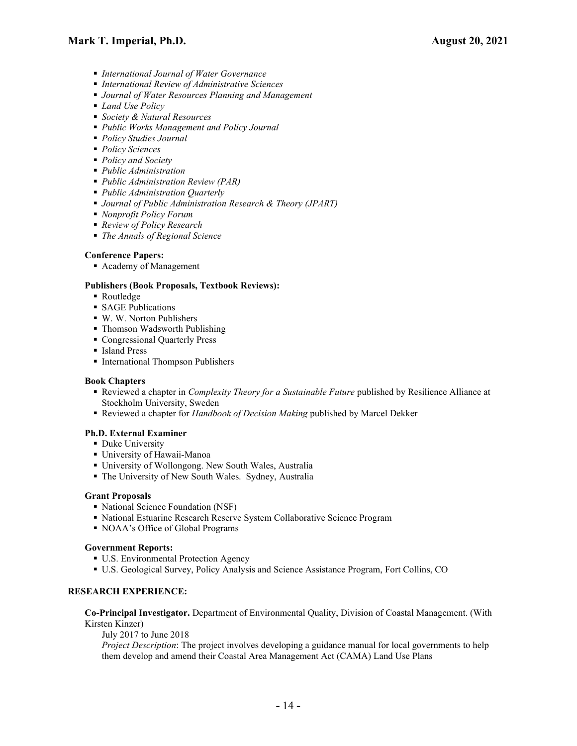- **International Journal of Water Governance**
- International Review of Administrative Sciences
- **Journal of Water Resources Planning and Management**
- *Land Use Policy*
- Society & Natural Resources
- Public Works Management and Policy Journal
- **Policy Studies Journal**
- Policy Sciences
- Policy and Society
- Public Administration
- Public Administration Review (PAR)
- Public Administration Quarterly
- Journal of Public Administration Research & Theory (JPART)
- Nonprofit Policy Forum
- Review of Policy Research
- The Annals of Regional Science

# Conference Papers:

Academy of Management

# Publishers (Book Proposals, Textbook Reviews):

- Routledge
- **SAGE Publications**
- W. W. Norton Publishers
- Thomson Wadsworth Publishing
- Congressional Quarterly Press
- Island Press
- **International Thompson Publishers**

# Book Chapters

- Reviewed a chapter in *Complexity Theory for a Sustainable Future* published by Resilience Alliance at Stockholm University, Sweden
- Reviewed a chapter for Handbook of Decision Making published by Marcel Dekker

# Ph.D. External Examiner

- **Duke University**
- University of Hawaii-Manoa
- University of Wollongong. New South Wales, Australia
- The University of New South Wales. Sydney, Australia

# Grant Proposals

- National Science Foundation (NSF)
- National Estuarine Research Reserve System Collaborative Science Program
- NOAA's Office of Global Programs

# Government Reports:

- **U.S. Environmental Protection Agency**
- U.S. Geological Survey, Policy Analysis and Science Assistance Program, Fort Collins, CO

# RESEARCH EXPERIENCE:

Co-Principal Investigator. Department of Environmental Quality, Division of Coastal Management. (With Kirsten Kinzer)

July 2017 to June 2018

Project Description: The project involves developing a guidance manual for local governments to help them develop and amend their Coastal Area Management Act (CAMA) Land Use Plans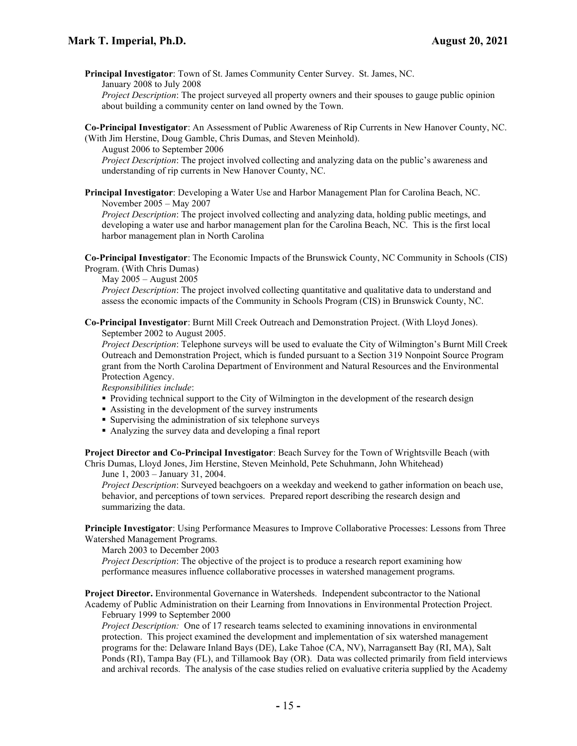Principal Investigator: Town of St. James Community Center Survey. St. James, NC. January 2008 to July 2008

Project Description: The project surveyed all property owners and their spouses to gauge public opinion about building a community center on land owned by the Town.

Co-Principal Investigator: An Assessment of Public Awareness of Rip Currents in New Hanover County, NC. (With Jim Herstine, Doug Gamble, Chris Dumas, and Steven Meinhold).

August 2006 to September 2006

Project Description: The project involved collecting and analyzing data on the public's awareness and understanding of rip currents in New Hanover County, NC.

Principal Investigator: Developing a Water Use and Harbor Management Plan for Carolina Beach, NC. November 2005 – May 2007

Project Description: The project involved collecting and analyzing data, holding public meetings, and developing a water use and harbor management plan for the Carolina Beach, NC. This is the first local harbor management plan in North Carolina

Co-Principal Investigator: The Economic Impacts of the Brunswick County, NC Community in Schools (CIS) Program. (With Chris Dumas)

May 2005 – August 2005

Project Description: The project involved collecting quantitative and qualitative data to understand and assess the economic impacts of the Community in Schools Program (CIS) in Brunswick County, NC.

Co-Principal Investigator: Burnt Mill Creek Outreach and Demonstration Project. (With Lloyd Jones). September 2002 to August 2005.

Project Description: Telephone surveys will be used to evaluate the City of Wilmington's Burnt Mill Creek Outreach and Demonstration Project, which is funded pursuant to a Section 319 Nonpoint Source Program grant from the North Carolina Department of Environment and Natural Resources and the Environmental Protection Agency.

Responsibilities include:

- Providing technical support to the City of Wilmington in the development of the research design
- Assisting in the development of the survey instruments
- Supervising the administration of six telephone surveys
- Analyzing the survey data and developing a final report

Project Director and Co-Principal Investigator: Beach Survey for the Town of Wrightsville Beach (with Chris Dumas, Lloyd Jones, Jim Herstine, Steven Meinhold, Pete Schuhmann, John Whitehead)

June 1, 2003 – January 31, 2004.

Project Description: Surveyed beachgoers on a weekday and weekend to gather information on beach use, behavior, and perceptions of town services. Prepared report describing the research design and summarizing the data.

Principle Investigator: Using Performance Measures to Improve Collaborative Processes: Lessons from Three Watershed Management Programs.

March 2003 to December 2003

Project Description: The objective of the project is to produce a research report examining how performance measures influence collaborative processes in watershed management programs.

Project Director. Environmental Governance in Watersheds. Independent subcontractor to the National Academy of Public Administration on their Learning from Innovations in Environmental Protection Project.

February 1999 to September 2000

Project Description: One of 17 research teams selected to examining innovations in environmental protection. This project examined the development and implementation of six watershed management programs for the: Delaware Inland Bays (DE), Lake Tahoe (CA, NV), Narragansett Bay (RI, MA), Salt Ponds (RI), Tampa Bay (FL), and Tillamook Bay (OR). Data was collected primarily from field interviews and archival records. The analysis of the case studies relied on evaluative criteria supplied by the Academy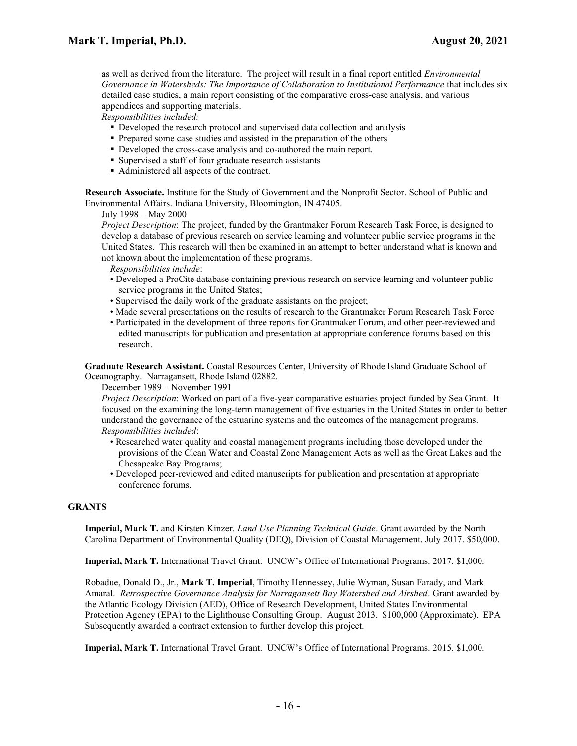as well as derived from the literature. The project will result in a final report entitled *Environmental* Governance in Watersheds: The Importance of Collaboration to Institutional Performance that includes six detailed case studies, a main report consisting of the comparative cross-case analysis, and various appendices and supporting materials.

Responsibilities included:

- Developed the research protocol and supervised data collection and analysis
- Prepared some case studies and assisted in the preparation of the others
- Developed the cross-case analysis and co-authored the main report.
- Supervised a staff of four graduate research assistants
- Administered all aspects of the contract.

Research Associate. Institute for the Study of Government and the Nonprofit Sector. School of Public and Environmental Affairs. Indiana University, Bloomington, IN 47405.

July 1998 – May 2000

Project Description: The project, funded by the Grantmaker Forum Research Task Force, is designed to develop a database of previous research on service learning and volunteer public service programs in the United States. This research will then be examined in an attempt to better understand what is known and not known about the implementation of these programs.

Responsibilities include:

- Developed a ProCite database containing previous research on service learning and volunteer public service programs in the United States;
- Supervised the daily work of the graduate assistants on the project;
- Made several presentations on the results of research to the Grantmaker Forum Research Task Force
- Participated in the development of three reports for Grantmaker Forum, and other peer-reviewed and edited manuscripts for publication and presentation at appropriate conference forums based on this research.

Graduate Research Assistant. Coastal Resources Center, University of Rhode Island Graduate School of Oceanography. Narragansett, Rhode Island 02882.

December 1989 – November 1991

Project Description: Worked on part of a five-year comparative estuaries project funded by Sea Grant. It focused on the examining the long-term management of five estuaries in the United States in order to better understand the governance of the estuarine systems and the outcomes of the management programs. Responsibilities included:

- Researched water quality and coastal management programs including those developed under the provisions of the Clean Water and Coastal Zone Management Acts as well as the Great Lakes and the Chesapeake Bay Programs;
- Developed peer-reviewed and edited manuscripts for publication and presentation at appropriate conference forums.

#### GRANTS

Imperial, Mark T. and Kirsten Kinzer. Land Use Planning Technical Guide. Grant awarded by the North Carolina Department of Environmental Quality (DEQ), Division of Coastal Management. July 2017. \$50,000.

Imperial, Mark T. International Travel Grant. UNCW's Office of International Programs. 2017. \$1,000.

Robadue, Donald D., Jr., Mark T. Imperial, Timothy Hennessey, Julie Wyman, Susan Farady, and Mark Amaral. Retrospective Governance Analysis for Narragansett Bay Watershed and Airshed. Grant awarded by the Atlantic Ecology Division (AED), Office of Research Development, United States Environmental Protection Agency (EPA) to the Lighthouse Consulting Group. August 2013. \$100,000 (Approximate). EPA Subsequently awarded a contract extension to further develop this project.

Imperial, Mark T. International Travel Grant. UNCW's Office of International Programs. 2015. \$1,000.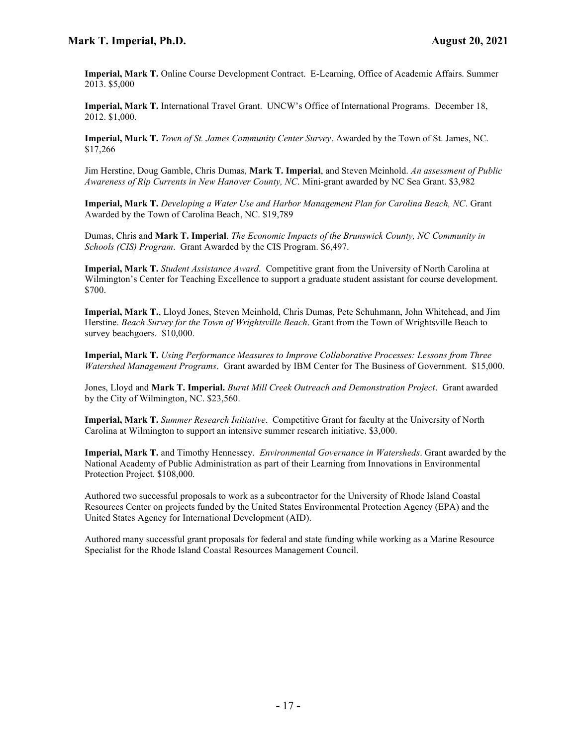Imperial, Mark T. Online Course Development Contract. E-Learning, Office of Academic Affairs. Summer 2013. \$5,000

Imperial, Mark T. International Travel Grant. UNCW's Office of International Programs. December 18, 2012. \$1,000.

Imperial, Mark T. Town of St. James Community Center Survey. Awarded by the Town of St. James, NC. \$17,266

Jim Herstine, Doug Gamble, Chris Dumas, Mark T. Imperial, and Steven Meinhold. An assessment of Public Awareness of Rip Currents in New Hanover County, NC. Mini-grant awarded by NC Sea Grant. \$3,982

Imperial, Mark T. Developing a Water Use and Harbor Management Plan for Carolina Beach, NC. Grant Awarded by the Town of Carolina Beach, NC. \$19,789

Dumas, Chris and Mark T. Imperial. The Economic Impacts of the Brunswick County, NC Community in Schools (CIS) Program. Grant Awarded by the CIS Program. \$6,497.

Imperial, Mark T. Student Assistance Award. Competitive grant from the University of North Carolina at Wilmington's Center for Teaching Excellence to support a graduate student assistant for course development. \$700.

Imperial, Mark T., Lloyd Jones, Steven Meinhold, Chris Dumas, Pete Schuhmann, John Whitehead, and Jim Herstine. Beach Survey for the Town of Wrightsville Beach. Grant from the Town of Wrightsville Beach to survey beachgoers. \$10,000.

Imperial, Mark T. Using Performance Measures to Improve Collaborative Processes: Lessons from Three Watershed Management Programs. Grant awarded by IBM Center for The Business of Government. \$15,000.

Jones, Lloyd and Mark T. Imperial. Burnt Mill Creek Outreach and Demonstration Project. Grant awarded by the City of Wilmington, NC. \$23,560.

Imperial, Mark T. Summer Research Initiative. Competitive Grant for faculty at the University of North Carolina at Wilmington to support an intensive summer research initiative. \$3,000.

Imperial, Mark T. and Timothy Hennessey. Environmental Governance in Watersheds. Grant awarded by the National Academy of Public Administration as part of their Learning from Innovations in Environmental Protection Project. \$108,000.

Authored two successful proposals to work as a subcontractor for the University of Rhode Island Coastal Resources Center on projects funded by the United States Environmental Protection Agency (EPA) and the United States Agency for International Development (AID).

Authored many successful grant proposals for federal and state funding while working as a Marine Resource Specialist for the Rhode Island Coastal Resources Management Council.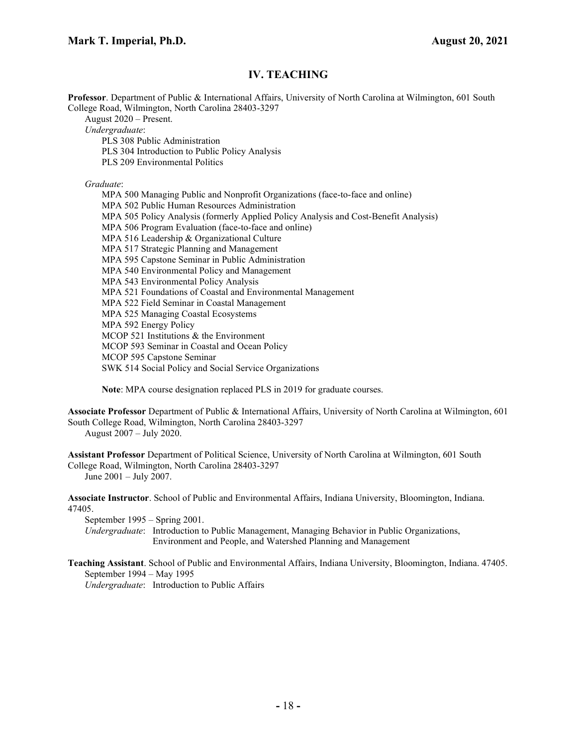# IV. TEACHING

Professor. Department of Public & International Affairs, University of North Carolina at Wilmington, 601 South College Road, Wilmington, North Carolina 28403-3297

August 2020 – Present.

Undergraduate:

PLS 308 Public Administration

PLS 304 Introduction to Public Policy Analysis

PLS 209 Environmental Politics

Graduate:

MPA 500 Managing Public and Nonprofit Organizations (face-to-face and online) MPA 502 Public Human Resources Administration MPA 505 Policy Analysis (formerly Applied Policy Analysis and Cost-Benefit Analysis) MPA 506 Program Evaluation (face-to-face and online) MPA 516 Leadership & Organizational Culture MPA 517 Strategic Planning and Management MPA 595 Capstone Seminar in Public Administration MPA 540 Environmental Policy and Management MPA 543 Environmental Policy Analysis MPA 521 Foundations of Coastal and Environmental Management MPA 522 Field Seminar in Coastal Management MPA 525 Managing Coastal Ecosystems MPA 592 Energy Policy MCOP 521 Institutions & the Environment MCOP 593 Seminar in Coastal and Ocean Policy MCOP 595 Capstone Seminar SWK 514 Social Policy and Social Service Organizations

Note: MPA course designation replaced PLS in 2019 for graduate courses.

Associate Professor Department of Public & International Affairs, University of North Carolina at Wilmington, 601 South College Road, Wilmington, North Carolina 28403-3297

August 2007 – July 2020.

Assistant Professor Department of Political Science, University of North Carolina at Wilmington, 601 South College Road, Wilmington, North Carolina 28403-3297 June 2001 – July 2007.

Associate Instructor. School of Public and Environmental Affairs, Indiana University, Bloomington, Indiana. 47405.

September 1995 – Spring 2001.

Undergraduate: Introduction to Public Management, Managing Behavior in Public Organizations, Environment and People, and Watershed Planning and Management

Teaching Assistant. School of Public and Environmental Affairs, Indiana University, Bloomington, Indiana. 47405. September 1994 – May 1995

Undergraduate: Introduction to Public Affairs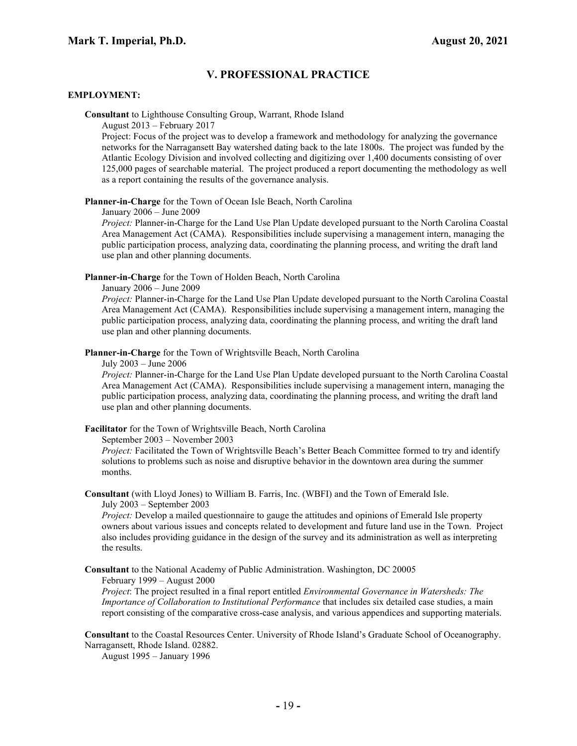# V. PROFESSIONAL PRACTICE

### EMPLOYMENT:

Consultant to Lighthouse Consulting Group, Warrant, Rhode Island

August 2013 – February 2017

Project: Focus of the project was to develop a framework and methodology for analyzing the governance networks for the Narragansett Bay watershed dating back to the late 1800s. The project was funded by the Atlantic Ecology Division and involved collecting and digitizing over 1,400 documents consisting of over 125,000 pages of searchable material. The project produced a report documenting the methodology as well as a report containing the results of the governance analysis.

Planner-in-Charge for the Town of Ocean Isle Beach, North Carolina

January 2006 – June 2009

Project: Planner-in-Charge for the Land Use Plan Update developed pursuant to the North Carolina Coastal Area Management Act (CAMA). Responsibilities include supervising a management intern, managing the public participation process, analyzing data, coordinating the planning process, and writing the draft land use plan and other planning documents.

Planner-in-Charge for the Town of Holden Beach, North Carolina

January 2006 – June 2009

Project: Planner-in-Charge for the Land Use Plan Update developed pursuant to the North Carolina Coastal Area Management Act (CAMA). Responsibilities include supervising a management intern, managing the public participation process, analyzing data, coordinating the planning process, and writing the draft land use plan and other planning documents.

Planner-in-Charge for the Town of Wrightsville Beach, North Carolina

July 2003 – June 2006

Project: Planner-in-Charge for the Land Use Plan Update developed pursuant to the North Carolina Coastal Area Management Act (CAMA). Responsibilities include supervising a management intern, managing the public participation process, analyzing data, coordinating the planning process, and writing the draft land use plan and other planning documents.

Facilitator for the Town of Wrightsville Beach, North Carolina

September 2003 – November 2003

Project: Facilitated the Town of Wrightsville Beach's Better Beach Committee formed to try and identify solutions to problems such as noise and disruptive behavior in the downtown area during the summer months.

Consultant (with Lloyd Jones) to William B. Farris, Inc. (WBFI) and the Town of Emerald Isle. July 2003 – September 2003

Project: Develop a mailed questionnaire to gauge the attitudes and opinions of Emerald Isle property owners about various issues and concepts related to development and future land use in the Town. Project also includes providing guidance in the design of the survey and its administration as well as interpreting the results.

Consultant to the National Academy of Public Administration. Washington, DC 20005 February 1999 – August 2000

Project: The project resulted in a final report entitled *Environmental Governance in Watersheds: The* Importance of Collaboration to Institutional Performance that includes six detailed case studies, a main report consisting of the comparative cross-case analysis, and various appendices and supporting materials.

Consultant to the Coastal Resources Center. University of Rhode Island's Graduate School of Oceanography. Narragansett, Rhode Island. 02882.

August 1995 – January 1996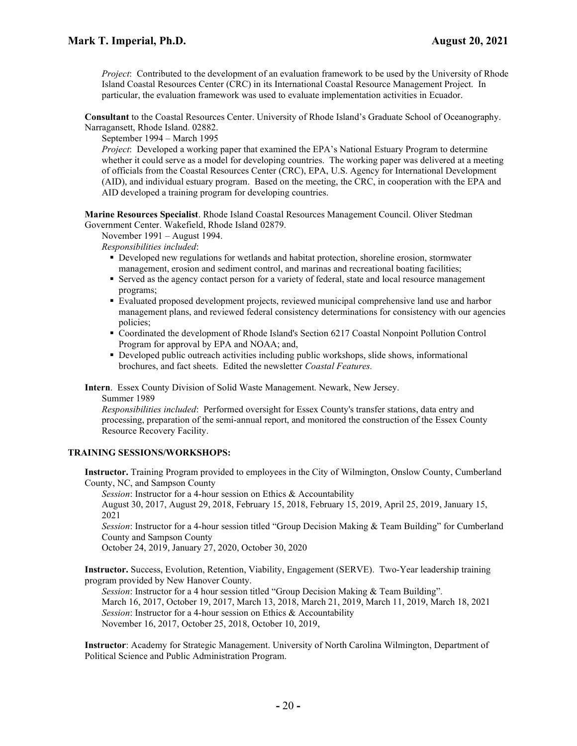Project: Contributed to the development of an evaluation framework to be used by the University of Rhode Island Coastal Resources Center (CRC) in its International Coastal Resource Management Project. In particular, the evaluation framework was used to evaluate implementation activities in Ecuador.

Consultant to the Coastal Resources Center. University of Rhode Island's Graduate School of Oceanography. Narragansett, Rhode Island. 02882.

September 1994 – March 1995

Project: Developed a working paper that examined the EPA's National Estuary Program to determine whether it could serve as a model for developing countries. The working paper was delivered at a meeting of officials from the Coastal Resources Center (CRC), EPA, U.S. Agency for International Development (AID), and individual estuary program. Based on the meeting, the CRC, in cooperation with the EPA and AID developed a training program for developing countries.

Marine Resources Specialist. Rhode Island Coastal Resources Management Council. Oliver Stedman Government Center. Wakefield, Rhode Island 02879.

November 1991 – August 1994.

Responsibilities included:

- Developed new regulations for wetlands and habitat protection, shoreline erosion, stormwater management, erosion and sediment control, and marinas and recreational boating facilities;
- Served as the agency contact person for a variety of federal, state and local resource management programs;
- Evaluated proposed development projects, reviewed municipal comprehensive land use and harbor management plans, and reviewed federal consistency determinations for consistency with our agencies policies;
- Coordinated the development of Rhode Island's Section 6217 Coastal Nonpoint Pollution Control Program for approval by EPA and NOAA; and,
- Developed public outreach activities including public workshops, slide shows, informational brochures, and fact sheets. Edited the newsletter Coastal Features.

Intern. Essex County Division of Solid Waste Management. Newark, New Jersey. Summer 1989

Responsibilities included: Performed oversight for Essex County's transfer stations, data entry and processing, preparation of the semi-annual report, and monitored the construction of the Essex County Resource Recovery Facility.

# TRAINING SESSIONS/WORKSHOPS:

Instructor. Training Program provided to employees in the City of Wilmington, Onslow County, Cumberland County, NC, and Sampson County

Session: Instructor for a 4-hour session on Ethics & Accountability

August 30, 2017, August 29, 2018, February 15, 2018, February 15, 2019, April 25, 2019, January 15, 2021

Session: Instructor for a 4-hour session titled "Group Decision Making & Team Building" for Cumberland County and Sampson County

October 24, 2019, January 27, 2020, October 30, 2020

Instructor. Success, Evolution, Retention, Viability, Engagement (SERVE). Two-Year leadership training program provided by New Hanover County.

Session: Instructor for a 4 hour session titled "Group Decision Making & Team Building". March 16, 2017, October 19, 2017, March 13, 2018, March 21, 2019, March 11, 2019, March 18, 2021 Session: Instructor for a 4-hour session on Ethics & Accountability November 16, 2017, October 25, 2018, October 10, 2019,

Instructor: Academy for Strategic Management. University of North Carolina Wilmington, Department of Political Science and Public Administration Program.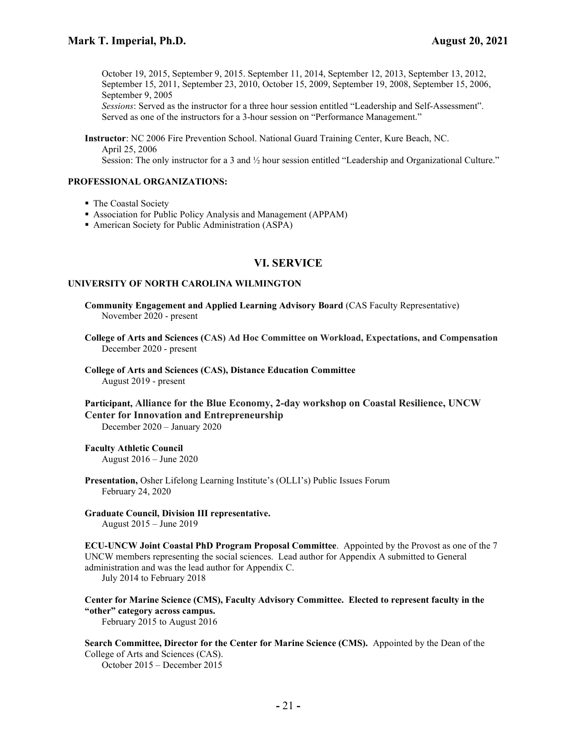October 19, 2015, September 9, 2015. September 11, 2014, September 12, 2013, September 13, 2012, September 15, 2011, September 23, 2010, October 15, 2009, September 19, 2008, September 15, 2006, September 9, 2005

Sessions: Served as the instructor for a three hour session entitled "Leadership and Self-Assessment". Served as one of the instructors for a 3-hour session on "Performance Management."

Instructor: NC 2006 Fire Prevention School. National Guard Training Center, Kure Beach, NC. April 25, 2006

Session: The only instructor for a 3 and  $\frac{1}{2}$  hour session entitled "Leadership and Organizational Culture."

## PROFESSIONAL ORGANIZATIONS:

- The Coastal Society
- Association for Public Policy Analysis and Management (APPAM)
- American Society for Public Administration (ASPA)

# VI. SERVICE

#### UNIVERSITY OF NORTH CAROLINA WILMINGTON

Community Engagement and Applied Learning Advisory Board (CAS Faculty Representative) November 2020 - present

College of Arts and Sciences (CAS) Ad Hoc Committee on Workload, Expectations, and Compensation December 2020 - present

College of Arts and Sciences (CAS), Distance Education Committee August 2019 - present

Participant, Alliance for the Blue Economy, 2-day workshop on Coastal Resilience, UNCW Center for Innovation and Entrepreneurship

December 2020 – January 2020

# Faculty Athletic Council

August 2016 – June 2020

Presentation, Osher Lifelong Learning Institute's (OLLI's) Public Issues Forum February 24, 2020

# Graduate Council, Division III representative.

August 2015 – June 2019

ECU-UNCW Joint Coastal PhD Program Proposal Committee. Appointed by the Provost as one of the 7 UNCW members representing the social sciences. Lead author for Appendix A submitted to General administration and was the lead author for Appendix C.

July 2014 to February 2018

# Center for Marine Science (CMS), Faculty Advisory Committee. Elected to represent faculty in the "other" category across campus.

February 2015 to August 2016

Search Committee, Director for the Center for Marine Science (CMS). Appointed by the Dean of the College of Arts and Sciences (CAS).

October 2015 – December 2015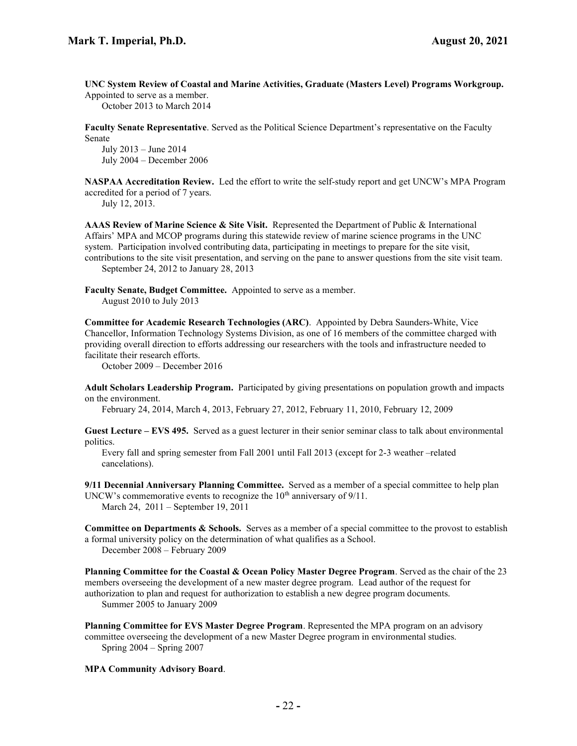UNC System Review of Coastal and Marine Activities, Graduate (Masters Level) Programs Workgroup.

Appointed to serve as a member. October 2013 to March 2014

Faculty Senate Representative. Served as the Political Science Department's representative on the Faculty Senate

July 2013 – June 2014 July 2004 – December 2006

NASPAA Accreditation Review. Led the effort to write the self-study report and get UNCW's MPA Program accredited for a period of 7 years.

July 12, 2013.

AAAS Review of Marine Science & Site Visit. Represented the Department of Public & International Affairs' MPA and MCOP programs during this statewide review of marine science programs in the UNC system. Participation involved contributing data, participating in meetings to prepare for the site visit, contributions to the site visit presentation, and serving on the pane to answer questions from the site visit team. September 24, 2012 to January 28, 2013

Faculty Senate, Budget Committee. Appointed to serve as a member. August 2010 to July 2013

Committee for Academic Research Technologies (ARC). Appointed by Debra Saunders-White, Vice Chancellor, Information Technology Systems Division, as one of 16 members of the committee charged with providing overall direction to efforts addressing our researchers with the tools and infrastructure needed to facilitate their research efforts.

October 2009 – December 2016

Adult Scholars Leadership Program. Participated by giving presentations on population growth and impacts on the environment.

February 24, 2014, March 4, 2013, February 27, 2012, February 11, 2010, February 12, 2009

Guest Lecture – EVS 495. Served as a guest lecturer in their senior seminar class to talk about environmental politics.

Every fall and spring semester from Fall 2001 until Fall 2013 (except for 2-3 weather –related cancelations).

9/11 Decennial Anniversary Planning Committee. Served as a member of a special committee to help plan UNCW's commemorative events to recognize the  $10<sup>th</sup>$  anniversary of  $9/11$ .

March 24, 2011 – September 19, 2011

Committee on Departments & Schools. Serves as a member of a special committee to the provost to establish a formal university policy on the determination of what qualifies as a School.

December 2008 – February 2009

Planning Committee for the Coastal & Ocean Policy Master Degree Program. Served as the chair of the 23 members overseeing the development of a new master degree program. Lead author of the request for authorization to plan and request for authorization to establish a new degree program documents.

Summer 2005 to January 2009

Planning Committee for EVS Master Degree Program. Represented the MPA program on an advisory committee overseeing the development of a new Master Degree program in environmental studies. Spring 2004 – Spring 2007

MPA Community Advisory Board.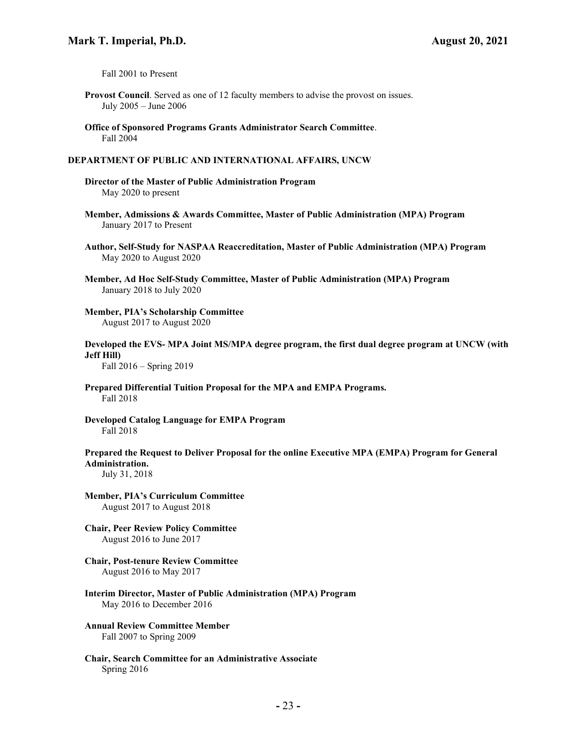Fall 2001 to Present

- Provost Council. Served as one of 12 faculty members to advise the provost on issues. July 2005 – June 2006
- Office of Sponsored Programs Grants Administrator Search Committee. Fall 2004

### DEPARTMENT OF PUBLIC AND INTERNATIONAL AFFAIRS, UNCW

Director of the Master of Public Administration Program May 2020 to present

- Member, Admissions & Awards Committee, Master of Public Administration (MPA) Program January 2017 to Present
- Author, Self-Study for NASPAA Reaccreditation, Master of Public Administration (MPA) Program May 2020 to August 2020
- Member, Ad Hoc Self-Study Committee, Master of Public Administration (MPA) Program January 2018 to July 2020
- Member, PIA's Scholarship Committee August 2017 to August 2020
- Developed the EVS- MPA Joint MS/MPA degree program, the first dual degree program at UNCW (with Jeff Hill)

Fall 2016 – Spring 2019

Prepared Differential Tuition Proposal for the MPA and EMPA Programs. Fall 2018

Developed Catalog Language for EMPA Program Fall 2018

Prepared the Request to Deliver Proposal for the online Executive MPA (EMPA) Program for General Administration.

July 31, 2018

- Member, PIA's Curriculum Committee August 2017 to August 2018
- Chair, Peer Review Policy Committee August 2016 to June 2017
- Chair, Post-tenure Review Committee August 2016 to May 2017
- Interim Director, Master of Public Administration (MPA) Program May 2016 to December 2016
- Annual Review Committee Member Fall 2007 to Spring 2009
- Chair, Search Committee for an Administrative Associate Spring 2016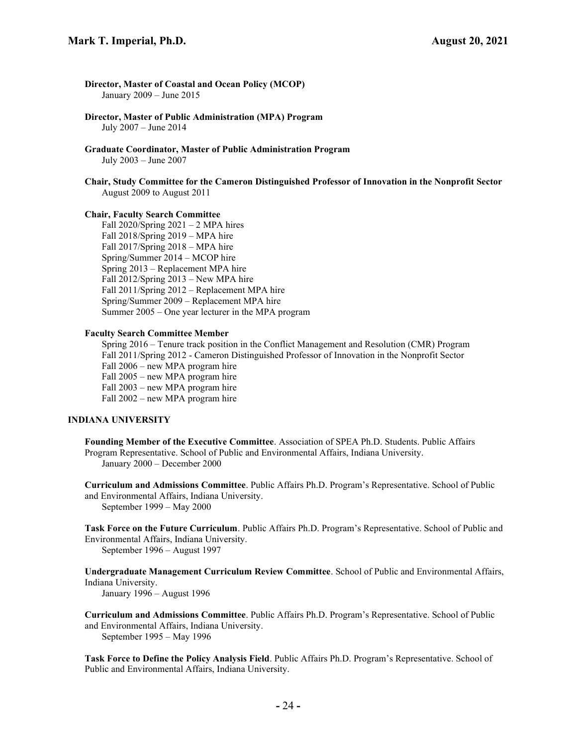Director, Master of Coastal and Ocean Policy (MCOP) January 2009 – June 2015

Director, Master of Public Administration (MPA) Program July 2007 – June 2014

Graduate Coordinator, Master of Public Administration Program July 2003 – June 2007

Chair, Study Committee for the Cameron Distinguished Professor of Innovation in the Nonprofit Sector August 2009 to August 2011

### Chair, Faculty Search Committee

Fall  $2020/Spring 2021 - 2 MPA hires$ Fall 2018/Spring 2019 – MPA hire Fall 2017/Spring 2018 – MPA hire Spring/Summer 2014 – MCOP hire Spring 2013 – Replacement MPA hire Fall 2012/Spring 2013 – New MPA hire Fall 2011/Spring 2012 – Replacement MPA hire Spring/Summer 2009 – Replacement MPA hire Summer 2005 – One year lecturer in the MPA program

#### Faculty Search Committee Member

Spring 2016 – Tenure track position in the Conflict Management and Resolution (CMR) Program Fall 2011/Spring 2012 - Cameron Distinguished Professor of Innovation in the Nonprofit Sector Fall 2006 – new MPA program hire Fall 2005 – new MPA program hire Fall 2003 – new MPA program hire Fall 2002 – new MPA program hire

### INDIANA UNIVERSITY

Founding Member of the Executive Committee. Association of SPEA Ph.D. Students. Public Affairs Program Representative. School of Public and Environmental Affairs, Indiana University. January 2000 – December 2000

Curriculum and Admissions Committee. Public Affairs Ph.D. Program's Representative. School of Public and Environmental Affairs, Indiana University. September 1999 – May 2000

Task Force on the Future Curriculum. Public Affairs Ph.D. Program's Representative. School of Public and Environmental Affairs, Indiana University.

September 1996 – August 1997

Undergraduate Management Curriculum Review Committee. School of Public and Environmental Affairs, Indiana University.

January 1996 – August 1996

Curriculum and Admissions Committee. Public Affairs Ph.D. Program's Representative. School of Public and Environmental Affairs, Indiana University.

September 1995 – May 1996

Task Force to Define the Policy Analysis Field. Public Affairs Ph.D. Program's Representative. School of Public and Environmental Affairs, Indiana University.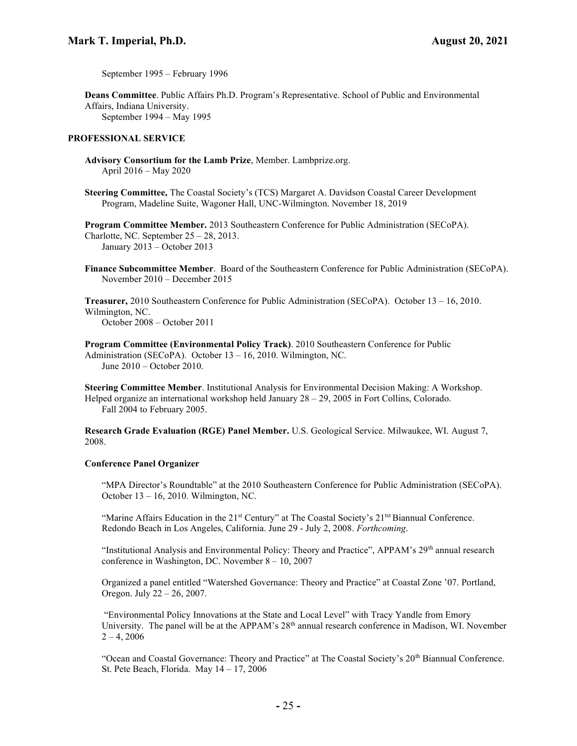September 1995 – February 1996

Deans Committee. Public Affairs Ph.D. Program's Representative. School of Public and Environmental Affairs, Indiana University. September 1994 – May 1995

## PROFESSIONAL SERVICE

Advisory Consortium for the Lamb Prize, Member. Lambprize.org. April 2016 – May 2020

Steering Committee, The Coastal Society's (TCS) Margaret A. Davidson Coastal Career Development Program, Madeline Suite, Wagoner Hall, UNC-Wilmington. November 18, 2019

Program Committee Member. 2013 Southeastern Conference for Public Administration (SECoPA). Charlotte, NC. September 25 – 28, 2013. January 2013 – October 2013

Finance Subcommittee Member. Board of the Southeastern Conference for Public Administration (SECoPA). November 2010 – December 2015

Treasurer, 2010 Southeastern Conference for Public Administration (SECoPA). October 13 – 16, 2010. Wilmington, NC.

October 2008 – October 2011

Program Committee (Environmental Policy Track). 2010 Southeastern Conference for Public Administration (SECoPA). October 13 – 16, 2010. Wilmington, NC. June 2010 – October 2010.

Steering Committee Member. Institutional Analysis for Environmental Decision Making: A Workshop. Helped organize an international workshop held January 28 – 29, 2005 in Fort Collins, Colorado. Fall 2004 to February 2005.

Research Grade Evaluation (RGE) Panel Member. U.S. Geological Service. Milwaukee, WI. August 7, 2008.

# Conference Panel Organizer

"MPA Director's Roundtable" at the 2010 Southeastern Conference for Public Administration (SECoPA). October 13 – 16, 2010. Wilmington, NC.

"Marine Affairs Education in the  $21<sup>st</sup>$  Century" at The Coastal Society's  $21<sup>ts</sup>$  Biannual Conference. Redondo Beach in Los Angeles, California. June 29 - July 2, 2008. Forthcoming.

"Institutional Analysis and Environmental Policy: Theory and Practice", APPAM's 29<sup>th</sup> annual research conference in Washington, DC. November  $8 - 10$ , 2007

Organized a panel entitled "Watershed Governance: Theory and Practice" at Coastal Zone '07. Portland, Oregon. July 22 – 26, 2007.

 "Environmental Policy Innovations at the State and Local Level" with Tracy Yandle from Emory University. The panel will be at the APPAM's  $28<sup>th</sup>$  annual research conference in Madison, WI. November  $2 - 4, 2006$ 

"Ocean and Coastal Governance: Theory and Practice" at The Coastal Society's 20<sup>th</sup> Biannual Conference. St. Pete Beach, Florida. May 14 – 17, 2006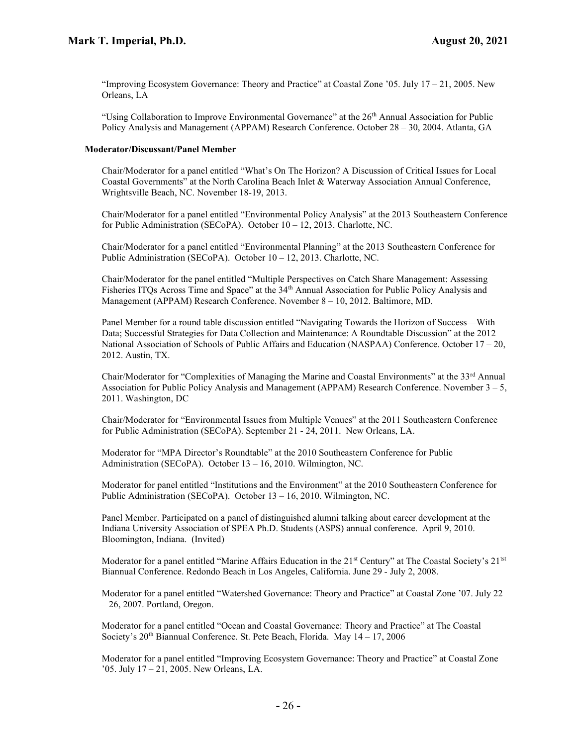"Improving Ecosystem Governance: Theory and Practice" at Coastal Zone '05. July 17 – 21, 2005. New Orleans, LA

"Using Collaboration to Improve Environmental Governance" at the  $26<sup>th</sup>$  Annual Association for Public Policy Analysis and Management (APPAM) Research Conference. October 28 – 30, 2004. Atlanta, GA

### Moderator/Discussant/Panel Member

Chair/Moderator for a panel entitled "What's On The Horizon? A Discussion of Critical Issues for Local Coastal Governments" at the North Carolina Beach Inlet & Waterway Association Annual Conference, Wrightsville Beach, NC. November 18-19, 2013.

Chair/Moderator for a panel entitled "Environmental Policy Analysis" at the 2013 Southeastern Conference for Public Administration (SECoPA). October 10 – 12, 2013. Charlotte, NC.

Chair/Moderator for a panel entitled "Environmental Planning" at the 2013 Southeastern Conference for Public Administration (SECoPA). October 10 – 12, 2013. Charlotte, NC.

Chair/Moderator for the panel entitled "Multiple Perspectives on Catch Share Management: Assessing Fisheries ITQs Across Time and Space" at the 34<sup>th</sup> Annual Association for Public Policy Analysis and Management (APPAM) Research Conference. November 8 – 10, 2012. Baltimore, MD.

Panel Member for a round table discussion entitled "Navigating Towards the Horizon of Success—With Data; Successful Strategies for Data Collection and Maintenance: A Roundtable Discussion" at the 2012 National Association of Schools of Public Affairs and Education (NASPAA) Conference. October 17 – 20, 2012. Austin, TX.

Chair/Moderator for "Complexities of Managing the Marine and Coastal Environments" at the 33<sup>rd</sup> Annual Association for Public Policy Analysis and Management (APPAM) Research Conference. November  $3 - 5$ , 2011. Washington, DC

Chair/Moderator for "Environmental Issues from Multiple Venues" at the 2011 Southeastern Conference for Public Administration (SECoPA). September 21 - 24, 2011. New Orleans, LA.

Moderator for "MPA Director's Roundtable" at the 2010 Southeastern Conference for Public Administration (SECoPA). October 13 – 16, 2010. Wilmington, NC.

Moderator for panel entitled "Institutions and the Environment" at the 2010 Southeastern Conference for Public Administration (SECoPA). October 13 – 16, 2010. Wilmington, NC.

Panel Member. Participated on a panel of distinguished alumni talking about career development at the Indiana University Association of SPEA Ph.D. Students (ASPS) annual conference. April 9, 2010. Bloomington, Indiana. (Invited)

Moderator for a panel entitled "Marine Affairs Education in the 21<sup>st</sup> Century" at The Coastal Society's 21<sup>tst</sup> Biannual Conference. Redondo Beach in Los Angeles, California. June 29 - July 2, 2008.

Moderator for a panel entitled "Watershed Governance: Theory and Practice" at Coastal Zone '07. July 22 – 26, 2007. Portland, Oregon.

Moderator for a panel entitled "Ocean and Coastal Governance: Theory and Practice" at The Coastal Society's  $20<sup>th</sup>$  Biannual Conference. St. Pete Beach, Florida. May  $14 - 17$ ,  $2006$ 

Moderator for a panel entitled "Improving Ecosystem Governance: Theory and Practice" at Coastal Zone '05. July 17 – 21, 2005. New Orleans, LA.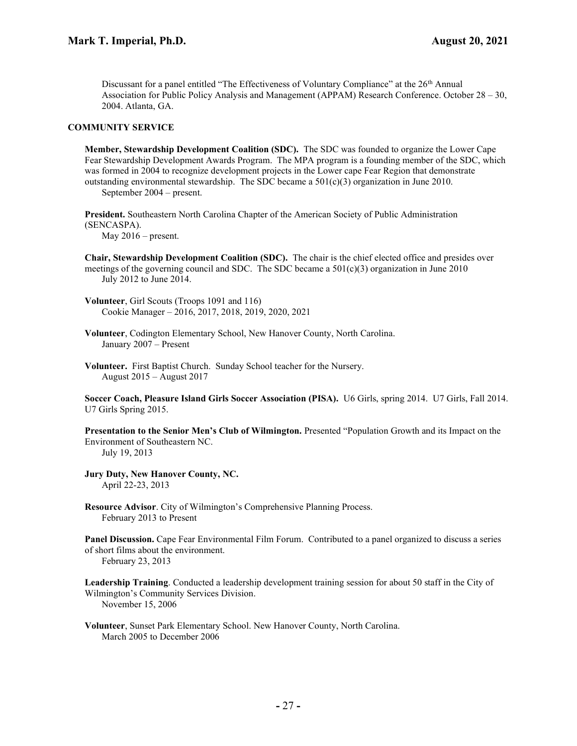Discussant for a panel entitled "The Effectiveness of Voluntary Compliance" at the  $26<sup>th</sup>$  Annual Association for Public Policy Analysis and Management (APPAM) Research Conference. October 28 – 30, 2004. Atlanta, GA.

#### COMMUNITY SERVICE

Member, Stewardship Development Coalition (SDC). The SDC was founded to organize the Lower Cape Fear Stewardship Development Awards Program. The MPA program is a founding member of the SDC, which was formed in 2004 to recognize development projects in the Lower cape Fear Region that demonstrate outstanding environmental stewardship. The SDC became a  $501(c)(3)$  organization in June 2010. September 2004 – present.

President. Southeastern North Carolina Chapter of the American Society of Public Administration (SENCASPA).

May  $2016$  – present.

Chair, Stewardship Development Coalition (SDC). The chair is the chief elected office and presides over meetings of the governing council and SDC. The SDC became a  $501(c)(3)$  organization in June 2010 July 2012 to June 2014.

Volunteer, Girl Scouts (Troops 1091 and 116) Cookie Manager – 2016, 2017, 2018, 2019, 2020, 2021

- Volunteer, Codington Elementary School, New Hanover County, North Carolina. January 2007 – Present
- Volunteer. First Baptist Church. Sunday School teacher for the Nursery. August 2015 – August 2017

Soccer Coach, Pleasure Island Girls Soccer Association (PISA). U6 Girls, spring 2014. U7 Girls, Fall 2014. U7 Girls Spring 2015.

Presentation to the Senior Men's Club of Wilmington. Presented "Population Growth and its Impact on the Environment of Southeastern NC.

July 19, 2013

Jury Duty, New Hanover County, NC. April 22-23, 2013

Resource Advisor. City of Wilmington's Comprehensive Planning Process. February 2013 to Present

Panel Discussion. Cape Fear Environmental Film Forum. Contributed to a panel organized to discuss a series of short films about the environment.

February 23, 2013

Leadership Training. Conducted a leadership development training session for about 50 staff in the City of Wilmington's Community Services Division. November 15, 2006

Volunteer, Sunset Park Elementary School. New Hanover County, North Carolina. March 2005 to December 2006